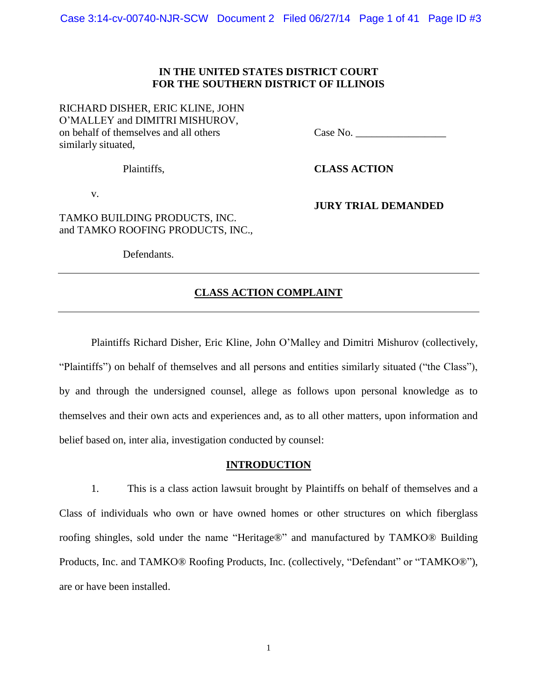## **IN THE UNITED STATES DISTRICT COURT FOR THE SOUTHERN DISTRICT OF ILLINOIS**

RICHARD DISHER, ERIC KLINE, JOHN O'MALLEY and DIMITRI MISHUROV, on behalf of themselves and all others Case No. similarly situated,

**JURY TRIAL DEMANDED**

Plaintiffs, **CLASS ACTION**

v.

TAMKO BUILDING PRODUCTS, INC. and TAMKO ROOFING PRODUCTS, INC.,

Defendants.

### **CLASS ACTION COMPLAINT**

Plaintiffs Richard Disher, Eric Kline, John O'Malley and Dimitri Mishurov (collectively, "Plaintiffs") on behalf of themselves and all persons and entities similarly situated ("the Class"), by and through the undersigned counsel, allege as follows upon personal knowledge as to themselves and their own acts and experiences and, as to all other matters, upon information and belief based on, inter alia, investigation conducted by counsel:

#### **INTRODUCTION**

1. This is a class action lawsuit brought by Plaintiffs on behalf of themselves and a Class of individuals who own or have owned homes or other structures on which fiberglass roofing shingles, sold under the name "Heritage®" and manufactured by TAMKO® Building Products, Inc. and TAMKO® Roofing Products, Inc. (collectively, "Defendant" or "TAMKO®"), are or have been installed.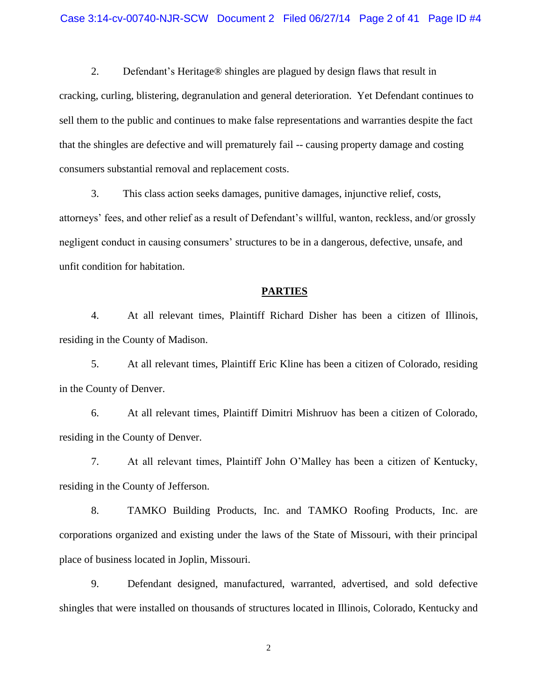2. Defendant's Heritage® shingles are plagued by design flaws that result in cracking, curling, blistering, degranulation and general deterioration. Yet Defendant continues to sell them to the public and continues to make false representations and warranties despite the fact that the shingles are defective and will prematurely fail -- causing property damage and costing consumers substantial removal and replacement costs.

3. This class action seeks damages, punitive damages, injunctive relief, costs, attorneys' fees, and other relief as a result of Defendant's willful, wanton, reckless, and/or grossly negligent conduct in causing consumers' structures to be in a dangerous, defective, unsafe, and unfit condition for habitation.

### **PARTIES**

4. At all relevant times, Plaintiff Richard Disher has been a citizen of Illinois, residing in the County of Madison.

5. At all relevant times, Plaintiff Eric Kline has been a citizen of Colorado, residing in the County of Denver.

6. At all relevant times, Plaintiff Dimitri Mishruov has been a citizen of Colorado, residing in the County of Denver.

7. At all relevant times, Plaintiff John O'Malley has been a citizen of Kentucky, residing in the County of Jefferson.

8. TAMKO Building Products, Inc. and TAMKO Roofing Products, Inc. are corporations organized and existing under the laws of the State of Missouri, with their principal place of business located in Joplin, Missouri.

9. Defendant designed, manufactured, warranted, advertised, and sold defective shingles that were installed on thousands of structures located in Illinois, Colorado, Kentucky and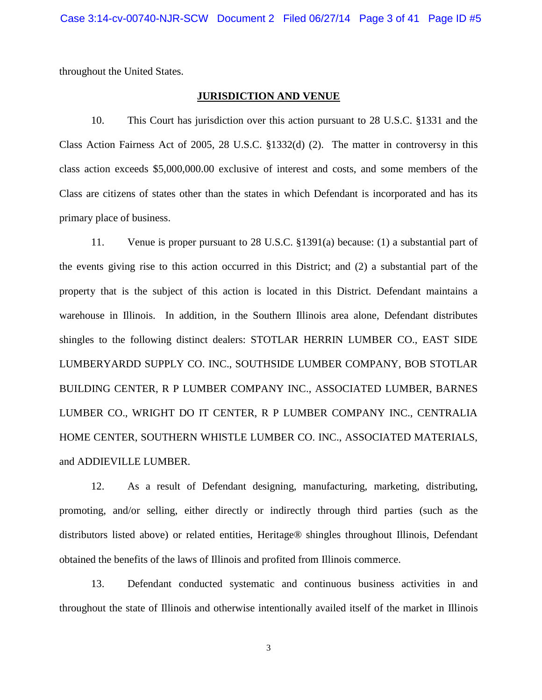throughout the United States.

#### **JURISDICTION AND VENUE**

10. This Court has jurisdiction over this action pursuant to 28 U.S.C. §1331 and the Class Action Fairness Act of 2005, 28 U.S.C. §1332(d) (2). The matter in controversy in this class action exceeds \$5,000,000.00 exclusive of interest and costs, and some members of the Class are citizens of states other than the states in which Defendant is incorporated and has its primary place of business.

11. Venue is proper pursuant to 28 U.S.C. §1391(a) because: (1) a substantial part of the events giving rise to this action occurred in this District; and (2) a substantial part of the property that is the subject of this action is located in this District. Defendant maintains a warehouse in Illinois. In addition, in the Southern Illinois area alone, Defendant distributes shingles to the following distinct dealers: STOTLAR HERRIN LUMBER CO., EAST SIDE LUMBERYARDD SUPPLY CO. INC., SOUTHSIDE LUMBER COMPANY, BOB STOTLAR BUILDING CENTER, R P LUMBER COMPANY INC., ASSOCIATED LUMBER, BARNES LUMBER CO., WRIGHT DO IT CENTER, R P LUMBER COMPANY INC., CENTRALIA HOME CENTER, SOUTHERN WHISTLE LUMBER CO. INC., ASSOCIATED MATERIALS, and ADDIEVILLE LUMBER.

12. As a result of Defendant designing, manufacturing, marketing, distributing, promoting, and/or selling, either directly or indirectly through third parties (such as the distributors listed above) or related entities, Heritage® shingles throughout Illinois, Defendant obtained the benefits of the laws of Illinois and profited from Illinois commerce.

13. Defendant conducted systematic and continuous business activities in and throughout the state of Illinois and otherwise intentionally availed itself of the market in Illinois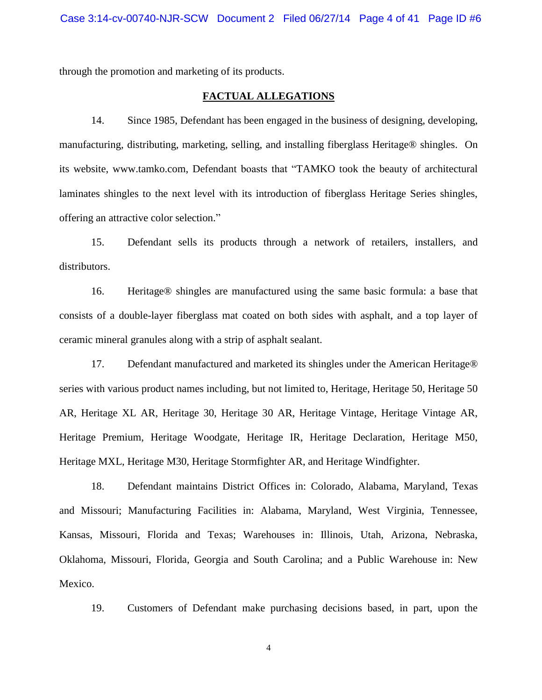through the promotion and marketing of its products.

#### **FACTUAL ALLEGATIONS**

14. Since 1985, Defendant has been engaged in the business of designing, developing, manufacturing, distributing, marketing, selling, and installing fiberglass Heritage® shingles. On its website, www.tamko.com, Defendant boasts that "TAMKO took the beauty of architectural laminates shingles to the next level with its introduction of fiberglass Heritage Series shingles, offering an attractive color selection."

15. Defendant sells its products through a network of retailers, installers, and distributors.

16. Heritage® shingles are manufactured using the same basic formula: a base that consists of a double-layer fiberglass mat coated on both sides with asphalt, and a top layer of ceramic mineral granules along with a strip of asphalt sealant.

17. Defendant manufactured and marketed its shingles under the American Heritage® series with various product names including, but not limited to, Heritage, Heritage 50, Heritage 50 AR, Heritage XL AR, Heritage 30, Heritage 30 AR, Heritage Vintage, Heritage Vintage AR, Heritage Premium, Heritage Woodgate, Heritage IR, Heritage Declaration, Heritage M50, Heritage MXL, Heritage M30, Heritage Stormfighter AR, and Heritage Windfighter.

18. Defendant maintains District Offices in: Colorado, Alabama, Maryland, Texas and Missouri; Manufacturing Facilities in: Alabama, Maryland, West Virginia, Tennessee, Kansas, Missouri, Florida and Texas; Warehouses in: Illinois, Utah, Arizona, Nebraska, Oklahoma, Missouri, Florida, Georgia and South Carolina; and a Public Warehouse in: New Mexico.

19. Customers of Defendant make purchasing decisions based, in part, upon the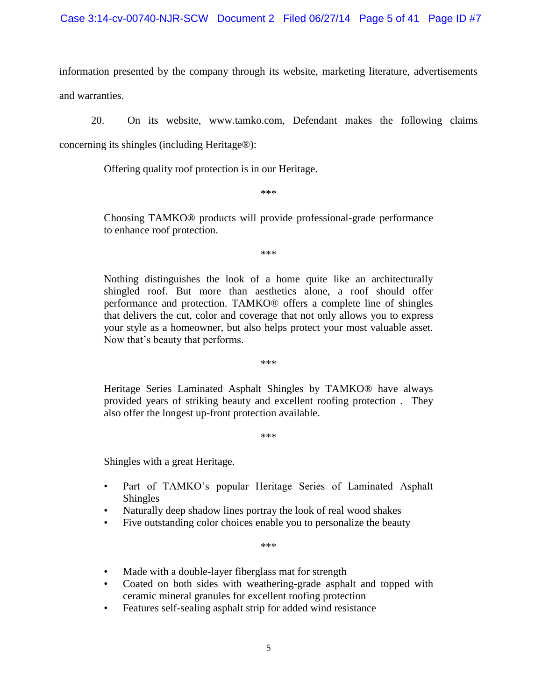information presented by the company through its website, marketing literature, advertisements and warranties.

20. On its website, www.tamko.com, Defendant makes the following claims

concerning its shingles (including Heritage®):

Offering quality roof protection is in our Heritage.

\*\*\*

Choosing TAMKO® products will provide professional-grade performance to enhance roof protection.

\*\*\*

Nothing distinguishes the look of a home quite like an architecturally shingled roof. But more than aesthetics alone, a roof should offer performance and protection. TAMKO® offers a complete line of shingles that delivers the cut, color and coverage that not only allows you to express your style as a homeowner, but also helps protect your most valuable asset. Now that's beauty that performs.

\*\*\*

Heritage Series Laminated Asphalt Shingles by TAMKO® have always provided years of striking beauty and excellent roofing protection . They also offer the longest up-front protection available.

\*\*\*

Shingles with a great Heritage.

- Part of TAMKO's popular Heritage Series of Laminated Asphalt Shingles
- Naturally deep shadow lines portray the look of real wood shakes
- Five outstanding color choices enable you to personalize the beauty

\*\*\*

- Made with a double-layer fiberglass mat for strength
- Coated on both sides with weathering-grade asphalt and topped with ceramic mineral granules for excellent roofing protection
- Features self-sealing asphalt strip for added wind resistance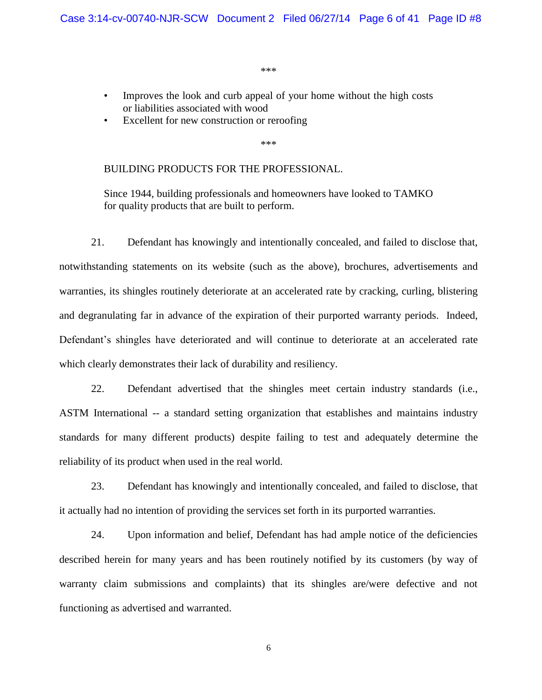\*\*\*

- Improves the look and curb appeal of your home without the high costs or liabilities associated with wood
- Excellent for new construction or reroofing

\*\*\*

#### BUILDING PRODUCTS FOR THE PROFESSIONAL.

Since 1944, building professionals and homeowners have looked to TAMKO for quality products that are built to perform.

21. Defendant has knowingly and intentionally concealed, and failed to disclose that, notwithstanding statements on its website (such as the above), brochures, advertisements and warranties, its shingles routinely deteriorate at an accelerated rate by cracking, curling, blistering and degranulating far in advance of the expiration of their purported warranty periods. Indeed, Defendant's shingles have deteriorated and will continue to deteriorate at an accelerated rate which clearly demonstrates their lack of durability and resiliency.

22. Defendant advertised that the shingles meet certain industry standards (i.e., ASTM International -- a standard setting organization that establishes and maintains industry standards for many different products) despite failing to test and adequately determine the reliability of its product when used in the real world.

23. Defendant has knowingly and intentionally concealed, and failed to disclose, that it actually had no intention of providing the services set forth in its purported warranties.

24. Upon information and belief, Defendant has had ample notice of the deficiencies described herein for many years and has been routinely notified by its customers (by way of warranty claim submissions and complaints) that its shingles are/were defective and not functioning as advertised and warranted.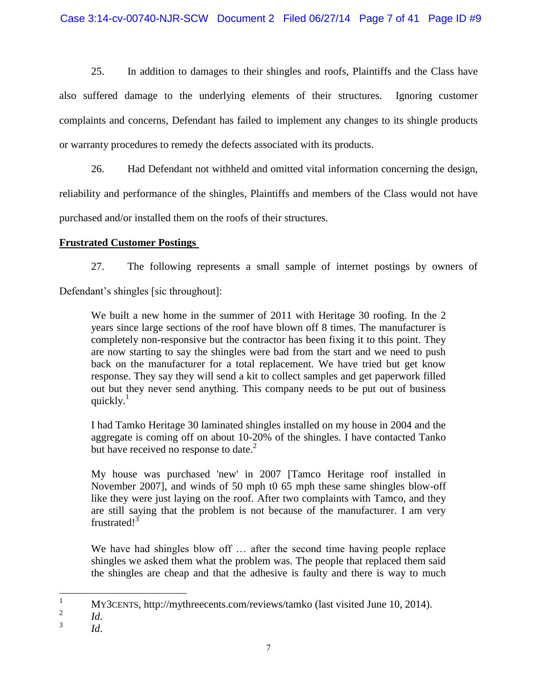25. In addition to damages to their shingles and roofs, Plaintiffs and the Class have also suffered damage to the underlying elements of their structures. Ignoring customer complaints and concerns, Defendant has failed to implement any changes to its shingle products or warranty procedures to remedy the defects associated with its products.

26. Had Defendant not withheld and omitted vital information concerning the design, reliability and performance of the shingles, Plaintiffs and members of the Class would not have purchased and/or installed them on the roofs of their structures.

# **Frustrated Customer Postings**

27. The following represents a small sample of internet postings by owners of Defendant's shingles [sic throughout]:

We built a new home in the summer of 2011 with Heritage 30 roofing. In the 2 years since large sections of the roof have blown off 8 times. The manufacturer is completely non-responsive but the contractor has been fixing it to this point. They are now starting to say the shingles were bad from the start and we need to push back on the manufacturer for a total replacement. We have tried but get know response. They say they will send a kit to collect samples and get paperwork filled out but they never send anything. This company needs to be put out of business quickly. $1$ 

I had Tamko Heritage 30 laminated shingles installed on my house in 2004 and the aggregate is coming off on about 10-20% of the shingles. I have contacted Tanko but have received no response to date. $<sup>2</sup>$ </sup>

My house was purchased 'new' in 2007 [Tamco Heritage roof installed in November 2007], and winds of 50 mph t0 65 mph these same shingles blow-off like they were just laying on the roof. After two complaints with Tamco, and they are still saying that the problem is not because of the manufacturer. I am very frustrated! $3$ 

We have had shingles blow off ... after the second time having people replace shingles we asked them what the problem was. The people that replaced them said the shingles are cheap and that the adhesive is faulty and there is way to much

 $\mathbf{1}$ <sup>1</sup> MY3CENTS, http://mythreecents.com/reviews/tamko (last visited June 10, 2014).

<sup>2</sup> *Id*.

<sup>3</sup> *Id*.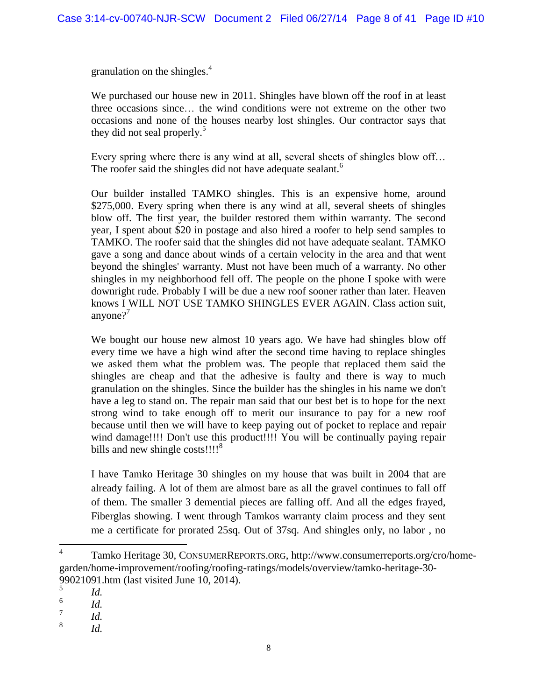granulation on the shingles. 4

We purchased our house new in 2011. Shingles have blown off the roof in at least three occasions since… the wind conditions were not extreme on the other two occasions and none of the houses nearby lost shingles. Our contractor says that they did not seal properly.<sup>5</sup>

Every spring where there is any wind at all, several sheets of shingles blow off… The roofer said the shingles did not have adequate sealant.<sup>6</sup>

Our builder installed TAMKO shingles. This is an expensive home, around \$275,000. Every spring when there is any wind at all, several sheets of shingles blow off. The first year, the builder restored them within warranty. The second year, I spent about \$20 in postage and also hired a roofer to help send samples to TAMKO. The roofer said that the shingles did not have adequate sealant. TAMKO gave a song and dance about winds of a certain velocity in the area and that went beyond the shingles' warranty. Must not have been much of a warranty. No other shingles in my neighborhood fell off. The people on the phone I spoke with were downright rude. Probably I will be due a new roof sooner rather than later. Heaven knows I WILL NOT USE TAMKO SHINGLES EVER AGAIN. Class action suit, anyone? $'$ 

We bought our house new almost 10 years ago. We have had shingles blow off every time we have a high wind after the second time having to replace shingles we asked them what the problem was. The people that replaced them said the shingles are cheap and that the adhesive is faulty and there is way to much granulation on the shingles. Since the builder has the shingles in his name we don't have a leg to stand on. The repair man said that our best bet is to hope for the next strong wind to take enough off to merit our insurance to pay for a new roof because until then we will have to keep paying out of pocket to replace and repair wind damage!!!! Don't use this product!!!! You will be continually paying repair bills and new shingle costs!!!!<sup>8</sup>

I have Tamko Heritage 30 shingles on my house that was built in 2004 that are already failing. A lot of them are almost bare as all the gravel continues to fall off of them. The smaller 3 demential pieces are falling off. And all the edges frayed, Fiberglas showing. I went through Tamkos warranty claim process and they sent me a certificate for prorated 25sq. Out of 37sq. And shingles only, no labor , no

 $\frac{1}{4}$ Tamko Heritage 30, CONSUMERREPORTS.ORG, http://www.consumerreports.org/cro/homegarden/home-improvement/roofing/roofing-ratings/models/overview/tamko-heritage-30- 99021091.htm (last visited June 10, 2014).

<sup>5</sup> *Id.*

<sup>6</sup> *Id.*

<sup>7</sup> *Id.* 

<sup>8</sup> *Id.*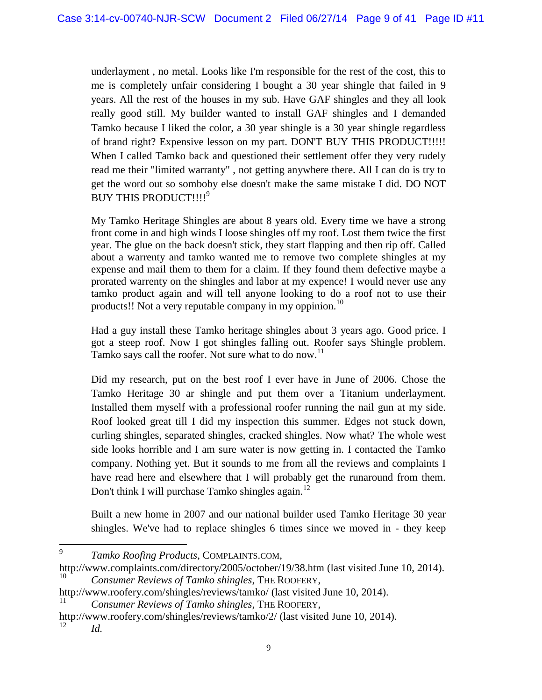underlayment , no metal. Looks like I'm responsible for the rest of the cost, this to me is completely unfair considering I bought a 30 year shingle that failed in 9 years. All the rest of the houses in my sub. Have GAF shingles and they all look really good still. My builder wanted to install GAF shingles and I demanded Tamko because I liked the color, a 30 year shingle is a 30 year shingle regardless of brand right? Expensive lesson on my part. DON'T BUY THIS PRODUCT!!!!! When I called Tamko back and questioned their settlement offer they very rudely read me their "limited warranty" , not getting anywhere there. All I can do is try to get the word out so somboby else doesn't make the same mistake I did. DO NOT BUY THIS PRODUCT!!!!<sup>9</sup>

My Tamko Heritage Shingles are about 8 years old. Every time we have a strong front come in and high winds I loose shingles off my roof. Lost them twice the first year. The glue on the back doesn't stick, they start flapping and then rip off. Called about a warrenty and tamko wanted me to remove two complete shingles at my expense and mail them to them for a claim. If they found them defective maybe a prorated warrenty on the shingles and labor at my expence! I would never use any tamko product again and will tell anyone looking to do a roof not to use their products!! Not a very reputable company in my oppinion.<sup>10</sup>

Had a guy install these Tamko heritage shingles about 3 years ago. Good price. I got a steep roof. Now I got shingles falling out. Roofer says Shingle problem. Tamko says call the roofer. Not sure what to do now.<sup>11</sup>

Did my research, put on the best roof I ever have in June of 2006. Chose the Tamko Heritage 30 ar shingle and put them over a Titanium underlayment. Installed them myself with a professional roofer running the nail gun at my side. Roof looked great till I did my inspection this summer. Edges not stuck down, curling shingles, separated shingles, cracked shingles. Now what? The whole west side looks horrible and I am sure water is now getting in. I contacted the Tamko company. Nothing yet. But it sounds to me from all the reviews and complaints I have read here and elsewhere that I will probably get the runaround from them. Don't think I will purchase Tamko shingles again.<sup>12</sup>

Built a new home in 2007 and our national builder used Tamko Heritage 30 year shingles. We've had to replace shingles 6 times since we moved in - they keep

http://www.roofery.com/shingles/reviews/tamko/ (last visited June 10, 2014).

<sup>9</sup> *Tamko Roofing Products*, COMPLAINTS.COM,

http://www.complaints.com/directory/2005/october/19/38.htm (last visited June 10, 2014). <sup>10</sup> *Consumer Reviews of Tamko shingles*, THE ROOFERY,

<sup>11</sup> *Consumer Reviews of Tamko shingles*, THE ROOFERY,

http://www.roofery.com/shingles/reviews/tamko/2/ (last visited June 10, 2014). <sup>12</sup> *Id.*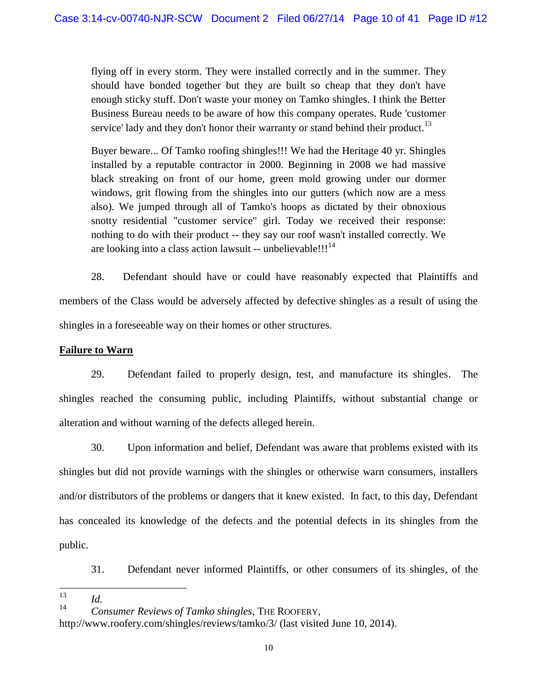flying off in every storm. They were installed correctly and in the summer. They should have bonded together but they are built so cheap that they don't have enough sticky stuff. Don't waste your money on Tamko shingles. I think the Better Business Bureau needs to be aware of how this company operates. Rude 'customer service' lady and they don't honor their warranty or stand behind their product.<sup>13</sup>

Buyer beware... Of Tamko roofing shingles!!! We had the Heritage 40 yr. Shingles installed by a reputable contractor in 2000. Beginning in 2008 we had massive black streaking on front of our home, green mold growing under our dormer windows, grit flowing from the shingles into our gutters (which now are a mess also). We jumped through all of Tamko's hoops as dictated by their obnoxious snotty residential "customer service" girl. Today we received their response: nothing to do with their product -- they say our roof wasn't installed correctly. We are looking into a class action lawsuit -- unbelievable!!! $^{14}$ 

28. Defendant should have or could have reasonably expected that Plaintiffs and members of the Class would be adversely affected by defective shingles as a result of using the shingles in a foreseeable way on their homes or other structures.

# **Failure to Warn**

29. Defendant failed to properly design, test, and manufacture its shingles. The shingles reached the consuming public, including Plaintiffs, without substantial change or alteration and without warning of the defects alleged herein.

30. Upon information and belief, Defendant was aware that problems existed with its shingles but did not provide warnings with the shingles or otherwise warn consumers, installers and/or distributors of the problems or dangers that it knew existed. In fact, to this day, Defendant has concealed its knowledge of the defects and the potential defects in its shingles from the public.

31. Defendant never informed Plaintiffs, or other consumers of its shingles, of the

<sup>13</sup>  $\frac{13}{14}$  *Id.* 

<sup>14</sup> *Consumer Reviews of Tamko shingles*, THE ROOFERY,

http://www.roofery.com/shingles/reviews/tamko/3/ (last visited June 10, 2014).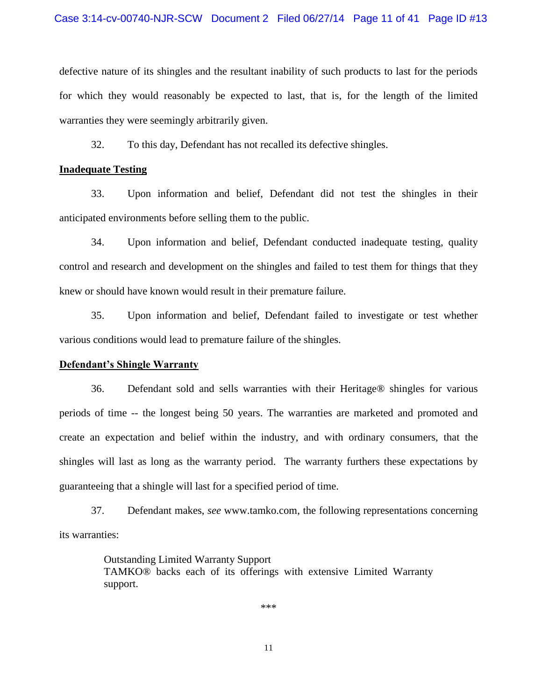defective nature of its shingles and the resultant inability of such products to last for the periods for which they would reasonably be expected to last, that is, for the length of the limited warranties they were seemingly arbitrarily given.

32. To this day, Defendant has not recalled its defective shingles.

### **Inadequate Testing**

33. Upon information and belief, Defendant did not test the shingles in their anticipated environments before selling them to the public.

34. Upon information and belief, Defendant conducted inadequate testing, quality control and research and development on the shingles and failed to test them for things that they knew or should have known would result in their premature failure.

35. Upon information and belief, Defendant failed to investigate or test whether various conditions would lead to premature failure of the shingles.

#### **Defendant's Shingle Warranty**

36. Defendant sold and sells warranties with their Heritage® shingles for various periods of time -- the longest being 50 years. The warranties are marketed and promoted and create an expectation and belief within the industry, and with ordinary consumers, that the shingles will last as long as the warranty period. The warranty furthers these expectations by guaranteeing that a shingle will last for a specified period of time.

37. Defendant makes, *see* www.tamko.com, the following representations concerning its warranties:

> Outstanding Limited Warranty Support TAMKO® backs each of its offerings with extensive Limited Warranty support.

> > \*\*\*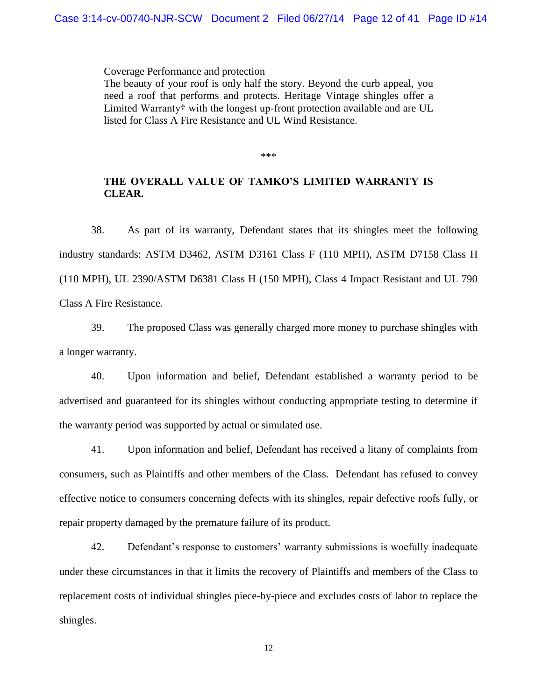Coverage Performance and protection

The beauty of your roof is only half the story. Beyond the curb appeal, you need a roof that performs and protects. Heritage Vintage shingles offer a Limited Warranty† with the longest up-front protection available and are UL listed for Class A Fire Resistance and UL Wind Resistance.

\*\*\*

## **THE OVERALL VALUE OF TAMKO'S LIMITED WARRANTY IS CLEAR.**

38. As part of its warranty, Defendant states that its shingles meet the following industry standards: ASTM D3462, ASTM D3161 Class F (110 MPH), ASTM D7158 Class H (110 MPH), UL 2390/ASTM D6381 Class H (150 MPH), Class 4 Impact Resistant and UL 790 Class A Fire Resistance.

39. The proposed Class was generally charged more money to purchase shingles with a longer warranty.

40. Upon information and belief, Defendant established a warranty period to be advertised and guaranteed for its shingles without conducting appropriate testing to determine if the warranty period was supported by actual or simulated use.

41. Upon information and belief, Defendant has received a litany of complaints from consumers, such as Plaintiffs and other members of the Class. Defendant has refused to convey effective notice to consumers concerning defects with its shingles, repair defective roofs fully, or repair property damaged by the premature failure of its product.

42. Defendant's response to customers' warranty submissions is woefully inadequate under these circumstances in that it limits the recovery of Plaintiffs and members of the Class to replacement costs of individual shingles piece-by-piece and excludes costs of labor to replace the shingles.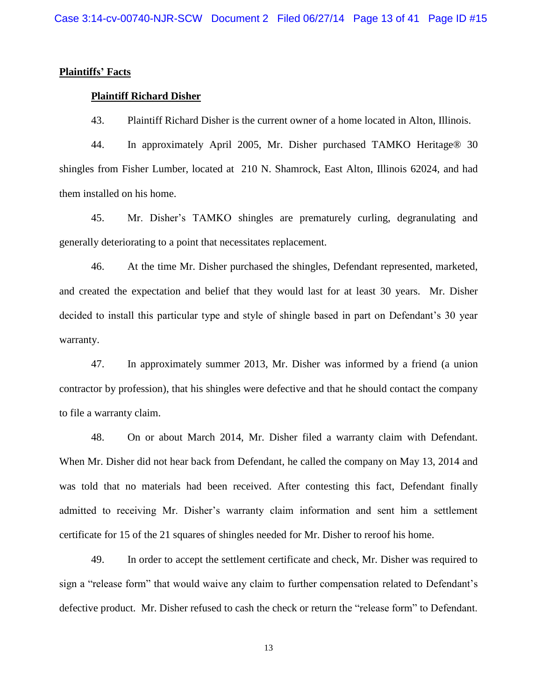### **Plaintiffs' Facts**

#### **Plaintiff Richard Disher**

43. Plaintiff Richard Disher is the current owner of a home located in Alton, Illinois.

44. In approximately April 2005, Mr. Disher purchased TAMKO Heritage® 30 shingles from Fisher Lumber, located at 210 N. Shamrock, East Alton, Illinois 62024, and had them installed on his home.

45. Mr. Disher's TAMKO shingles are prematurely curling, degranulating and generally deteriorating to a point that necessitates replacement.

46. At the time Mr. Disher purchased the shingles, Defendant represented, marketed, and created the expectation and belief that they would last for at least 30 years. Mr. Disher decided to install this particular type and style of shingle based in part on Defendant's 30 year warranty.

47. In approximately summer 2013, Mr. Disher was informed by a friend (a union contractor by profession), that his shingles were defective and that he should contact the company to file a warranty claim.

48. On or about March 2014, Mr. Disher filed a warranty claim with Defendant. When Mr. Disher did not hear back from Defendant, he called the company on May 13, 2014 and was told that no materials had been received. After contesting this fact, Defendant finally admitted to receiving Mr. Disher's warranty claim information and sent him a settlement certificate for 15 of the 21 squares of shingles needed for Mr. Disher to reroof his home.

49. In order to accept the settlement certificate and check, Mr. Disher was required to sign a "release form" that would waive any claim to further compensation related to Defendant's defective product. Mr. Disher refused to cash the check or return the "release form" to Defendant.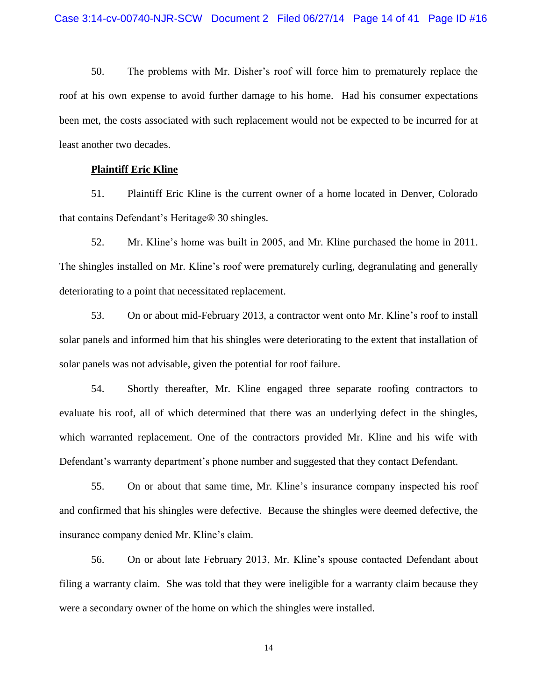50. The problems with Mr. Disher's roof will force him to prematurely replace the roof at his own expense to avoid further damage to his home. Had his consumer expectations been met, the costs associated with such replacement would not be expected to be incurred for at least another two decades.

#### **Plaintiff Eric Kline**

51. Plaintiff Eric Kline is the current owner of a home located in Denver, Colorado that contains Defendant's Heritage® 30 shingles.

52. Mr. Kline's home was built in 2005, and Mr. Kline purchased the home in 2011. The shingles installed on Mr. Kline's roof were prematurely curling, degranulating and generally deteriorating to a point that necessitated replacement.

53. On or about mid-February 2013, a contractor went onto Mr. Kline's roof to install solar panels and informed him that his shingles were deteriorating to the extent that installation of solar panels was not advisable, given the potential for roof failure.

54. Shortly thereafter, Mr. Kline engaged three separate roofing contractors to evaluate his roof, all of which determined that there was an underlying defect in the shingles, which warranted replacement. One of the contractors provided Mr. Kline and his wife with Defendant's warranty department's phone number and suggested that they contact Defendant.

55. On or about that same time, Mr. Kline's insurance company inspected his roof and confirmed that his shingles were defective. Because the shingles were deemed defective, the insurance company denied Mr. Kline's claim.

56. On or about late February 2013, Mr. Kline's spouse contacted Defendant about filing a warranty claim. She was told that they were ineligible for a warranty claim because they were a secondary owner of the home on which the shingles were installed.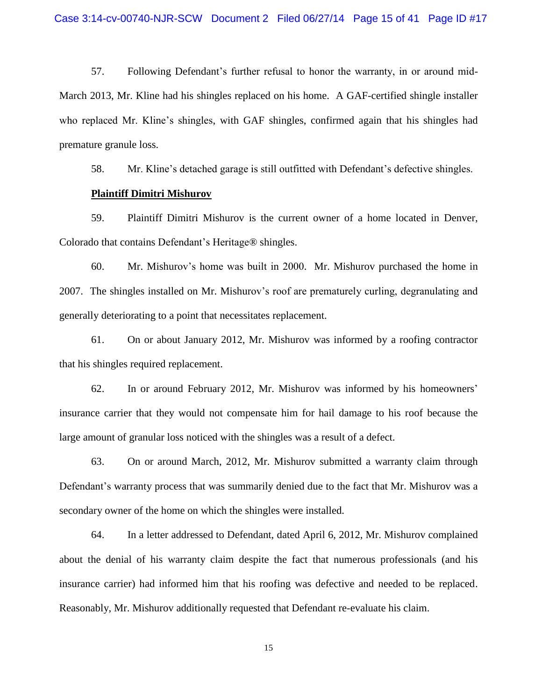57. Following Defendant's further refusal to honor the warranty, in or around mid-March 2013, Mr. Kline had his shingles replaced on his home. A GAF-certified shingle installer who replaced Mr. Kline's shingles, with GAF shingles, confirmed again that his shingles had premature granule loss.

58. Mr. Kline's detached garage is still outfitted with Defendant's defective shingles.

#### **Plaintiff Dimitri Mishurov**

59. Plaintiff Dimitri Mishurov is the current owner of a home located in Denver, Colorado that contains Defendant's Heritage® shingles.

60. Mr. Mishurov's home was built in 2000. Mr. Mishurov purchased the home in 2007. The shingles installed on Mr. Mishurov's roof are prematurely curling, degranulating and generally deteriorating to a point that necessitates replacement.

61. On or about January 2012, Mr. Mishurov was informed by a roofing contractor that his shingles required replacement.

62. In or around February 2012, Mr. Mishurov was informed by his homeowners' insurance carrier that they would not compensate him for hail damage to his roof because the large amount of granular loss noticed with the shingles was a result of a defect.

63. On or around March, 2012, Mr. Mishurov submitted a warranty claim through Defendant's warranty process that was summarily denied due to the fact that Mr. Mishurov was a secondary owner of the home on which the shingles were installed.

64. In a letter addressed to Defendant, dated April 6, 2012, Mr. Mishurov complained about the denial of his warranty claim despite the fact that numerous professionals (and his insurance carrier) had informed him that his roofing was defective and needed to be replaced. Reasonably, Mr. Mishurov additionally requested that Defendant re-evaluate his claim.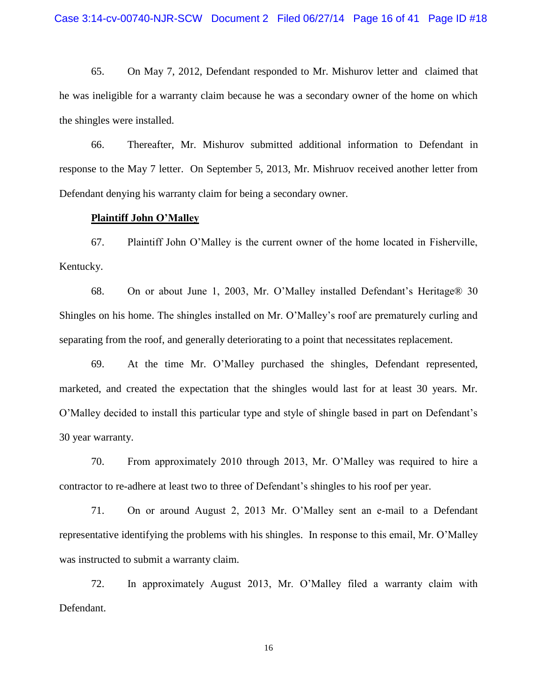65. On May 7, 2012, Defendant responded to Mr. Mishurov letter and claimed that he was ineligible for a warranty claim because he was a secondary owner of the home on which the shingles were installed.

66. Thereafter, Mr. Mishurov submitted additional information to Defendant in response to the May 7 letter. On September 5, 2013, Mr. Mishruov received another letter from Defendant denying his warranty claim for being a secondary owner.

### **Plaintiff John O'Malley**

67. Plaintiff John O'Malley is the current owner of the home located in Fisherville, Kentucky.

68. On or about June 1, 2003, Mr. O'Malley installed Defendant's Heritage® 30 Shingles on his home. The shingles installed on Mr. O'Malley's roof are prematurely curling and separating from the roof, and generally deteriorating to a point that necessitates replacement.

69. At the time Mr. O'Malley purchased the shingles, Defendant represented, marketed, and created the expectation that the shingles would last for at least 30 years. Mr. O'Malley decided to install this particular type and style of shingle based in part on Defendant's 30 year warranty.

70. From approximately 2010 through 2013, Mr. O'Malley was required to hire a contractor to re-adhere at least two to three of Defendant's shingles to his roof per year.

71. On or around August 2, 2013 Mr. O'Malley sent an e-mail to a Defendant representative identifying the problems with his shingles. In response to this email, Mr. O'Malley was instructed to submit a warranty claim.

72. In approximately August 2013, Mr. O'Malley filed a warranty claim with Defendant.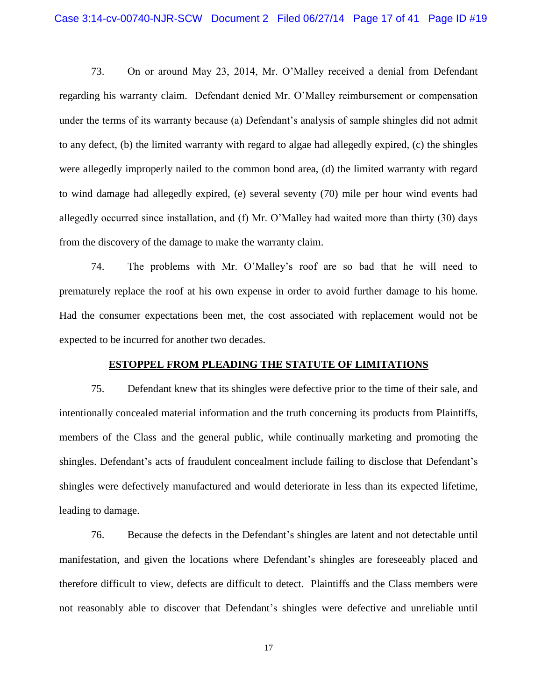73. On or around May 23, 2014, Mr. O'Malley received a denial from Defendant regarding his warranty claim. Defendant denied Mr. O'Malley reimbursement or compensation under the terms of its warranty because (a) Defendant's analysis of sample shingles did not admit to any defect, (b) the limited warranty with regard to algae had allegedly expired, (c) the shingles were allegedly improperly nailed to the common bond area, (d) the limited warranty with regard to wind damage had allegedly expired, (e) several seventy (70) mile per hour wind events had allegedly occurred since installation, and (f) Mr. O'Malley had waited more than thirty (30) days from the discovery of the damage to make the warranty claim.

74. The problems with Mr. O'Malley's roof are so bad that he will need to prematurely replace the roof at his own expense in order to avoid further damage to his home. Had the consumer expectations been met, the cost associated with replacement would not be expected to be incurred for another two decades.

### **ESTOPPEL FROM PLEADING THE STATUTE OF LIMITATIONS**

75. Defendant knew that its shingles were defective prior to the time of their sale, and intentionally concealed material information and the truth concerning its products from Plaintiffs, members of the Class and the general public, while continually marketing and promoting the shingles. Defendant's acts of fraudulent concealment include failing to disclose that Defendant's shingles were defectively manufactured and would deteriorate in less than its expected lifetime, leading to damage.

76. Because the defects in the Defendant's shingles are latent and not detectable until manifestation, and given the locations where Defendant's shingles are foreseeably placed and therefore difficult to view, defects are difficult to detect. Plaintiffs and the Class members were not reasonably able to discover that Defendant's shingles were defective and unreliable until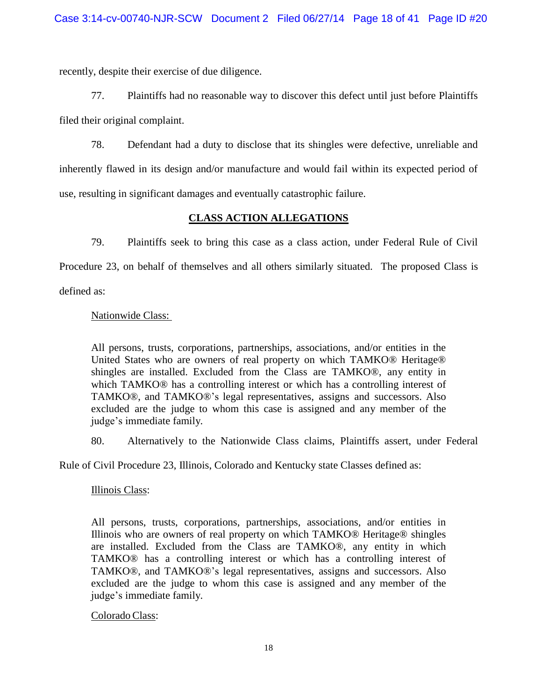recently, despite their exercise of due diligence.

77. Plaintiffs had no reasonable way to discover this defect until just before Plaintiffs filed their original complaint.

78. Defendant had a duty to disclose that its shingles were defective, unreliable and inherently flawed in its design and/or manufacture and would fail within its expected period of use, resulting in significant damages and eventually catastrophic failure.

# **CLASS ACTION ALLEGATIONS**

79. Plaintiffs seek to bring this case as a class action, under Federal Rule of Civil Procedure 23, on behalf of themselves and all others similarly situated. The proposed Class is defined as:

## Nationwide Class:

All persons, trusts, corporations, partnerships, associations, and/or entities in the United States who are owners of real property on which TAMKO® Heritage® shingles are installed. Excluded from the Class are TAMKO®, any entity in which TAMKO® has a controlling interest or which has a controlling interest of TAMKO®, and TAMKO®'s legal representatives, assigns and successors. Also excluded are the judge to whom this case is assigned and any member of the judge's immediate family.

80. Alternatively to the Nationwide Class claims, Plaintiffs assert, under Federal

Rule of Civil Procedure 23, Illinois, Colorado and Kentucky state Classes defined as:

## Illinois Class:

All persons, trusts, corporations, partnerships, associations, and/or entities in Illinois who are owners of real property on which TAMKO® Heritage® shingles are installed. Excluded from the Class are TAMKO®, any entity in which TAMKO® has a controlling interest or which has a controlling interest of TAMKO®, and TAMKO®'s legal representatives, assigns and successors. Also excluded are the judge to whom this case is assigned and any member of the judge's immediate family.

Colorado Class: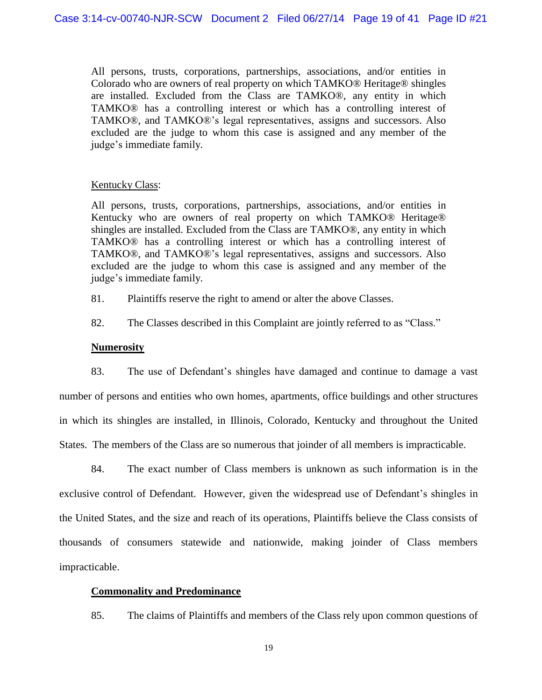All persons, trusts, corporations, partnerships, associations, and/or entities in Colorado who are owners of real property on which TAMKO® Heritage® shingles are installed. Excluded from the Class are TAMKO®, any entity in which TAMKO® has a controlling interest or which has a controlling interest of TAMKO®, and TAMKO®'s legal representatives, assigns and successors. Also excluded are the judge to whom this case is assigned and any member of the judge's immediate family.

### Kentucky Class:

All persons, trusts, corporations, partnerships, associations, and/or entities in Kentucky who are owners of real property on which TAMKO® Heritage® shingles are installed. Excluded from the Class are TAMKO®, any entity in which TAMKO® has a controlling interest or which has a controlling interest of TAMKO®, and TAMKO®'s legal representatives, assigns and successors. Also excluded are the judge to whom this case is assigned and any member of the judge's immediate family.

81. Plaintiffs reserve the right to amend or alter the above Classes.

82. The Classes described in this Complaint are jointly referred to as "Class."

## **Numerosity**

83. The use of Defendant's shingles have damaged and continue to damage a vast number of persons and entities who own homes, apartments, office buildings and other structures in which its shingles are installed, in Illinois, Colorado, Kentucky and throughout the United States. The members of the Class are so numerous that joinder of all members is impracticable.

84. The exact number of Class members is unknown as such information is in the exclusive control of Defendant. However, given the widespread use of Defendant's shingles in the United States, and the size and reach of its operations, Plaintiffs believe the Class consists of thousands of consumers statewide and nationwide, making joinder of Class members impracticable.

### **Commonality and Predominance**

85. The claims of Plaintiffs and members of the Class rely upon common questions of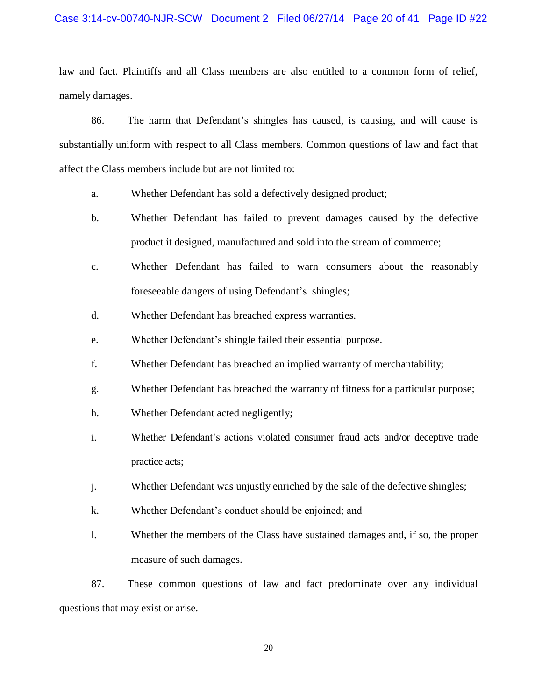### Case 3:14-cv-00740-NJR-SCW Document 2 Filed 06/27/14 Page 20 of 41 Page ID #22

law and fact. Plaintiffs and all Class members are also entitled to a common form of relief, namely damages.

86. The harm that Defendant's shingles has caused, is causing, and will cause is substantially uniform with respect to all Class members. Common questions of law and fact that affect the Class members include but are not limited to:

- a. Whether Defendant has sold a defectively designed product;
- b. Whether Defendant has failed to prevent damages caused by the defective product it designed, manufactured and sold into the stream of commerce;
- c. Whether Defendant has failed to warn consumers about the reasonably foreseeable dangers of using Defendant's shingles;
- d. Whether Defendant has breached express warranties.
- e. Whether Defendant's shingle failed their essential purpose.
- f. Whether Defendant has breached an implied warranty of merchantability;
- g. Whether Defendant has breached the warranty of fitness for a particular purpose;
- h. Whether Defendant acted negligently;
- i. Whether Defendant's actions violated consumer fraud acts and/or deceptive trade practice acts;
- j. Whether Defendant was unjustly enriched by the sale of the defective shingles;
- k. Whether Defendant's conduct should be enjoined; and
- l. Whether the members of the Class have sustained damages and, if so, the proper measure of such damages.

87. These common questions of law and fact predominate over any individual questions that may exist or arise.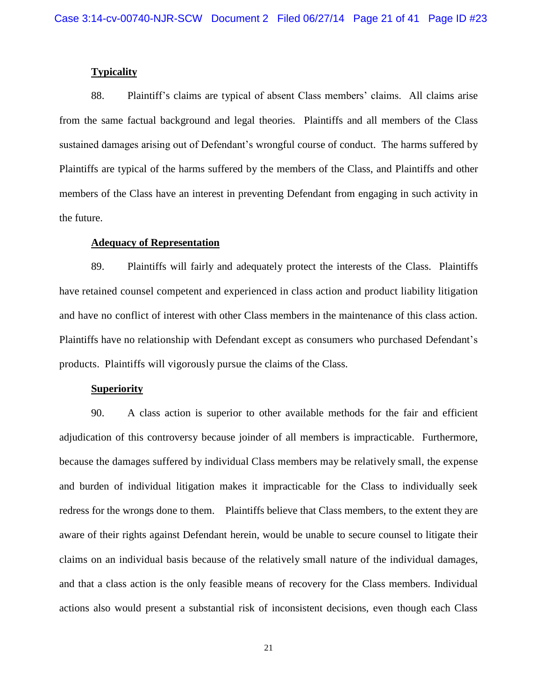#### **Typicality**

88. Plaintiff's claims are typical of absent Class members' claims. All claims arise from the same factual background and legal theories. Plaintiffs and all members of the Class sustained damages arising out of Defendant's wrongful course of conduct. The harms suffered by Plaintiffs are typical of the harms suffered by the members of the Class, and Plaintiffs and other members of the Class have an interest in preventing Defendant from engaging in such activity in the future.

### **Adequacy of Representation**

89. Plaintiffs will fairly and adequately protect the interests of the Class. Plaintiffs have retained counsel competent and experienced in class action and product liability litigation and have no conflict of interest with other Class members in the maintenance of this class action. Plaintiffs have no relationship with Defendant except as consumers who purchased Defendant's products. Plaintiffs will vigorously pursue the claims of the Class.

## **Superiority**

90. A class action is superior to other available methods for the fair and efficient adjudication of this controversy because joinder of all members is impracticable. Furthermore, because the damages suffered by individual Class members may be relatively small, the expense and burden of individual litigation makes it impracticable for the Class to individually seek redress for the wrongs done to them. Plaintiffs believe that Class members, to the extent they are aware of their rights against Defendant herein, would be unable to secure counsel to litigate their claims on an individual basis because of the relatively small nature of the individual damages, and that a class action is the only feasible means of recovery for the Class members. Individual actions also would present a substantial risk of inconsistent decisions, even though each Class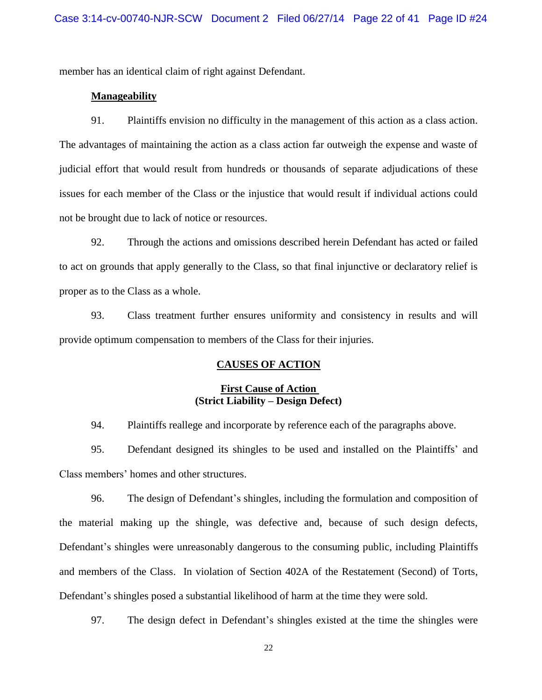member has an identical claim of right against Defendant.

### **Manageability**

91. Plaintiffs envision no difficulty in the management of this action as a class action. The advantages of maintaining the action as a class action far outweigh the expense and waste of judicial effort that would result from hundreds or thousands of separate adjudications of these issues for each member of the Class or the injustice that would result if individual actions could not be brought due to lack of notice or resources.

92. Through the actions and omissions described herein Defendant has acted or failed to act on grounds that apply generally to the Class, so that final injunctive or declaratory relief is proper as to the Class as a whole.

93. Class treatment further ensures uniformity and consistency in results and will provide optimum compensation to members of the Class for their injuries.

## **CAUSES OF ACTION**

## **First Cause of Action (Strict Liability – Design Defect)**

94. Plaintiffs reallege and incorporate by reference each of the paragraphs above.

95. Defendant designed its shingles to be used and installed on the Plaintiffs' and Class members' homes and other structures.

96. The design of Defendant's shingles, including the formulation and composition of the material making up the shingle, was defective and, because of such design defects, Defendant's shingles were unreasonably dangerous to the consuming public, including Plaintiffs and members of the Class. In violation of Section 402A of the Restatement (Second) of Torts, Defendant's shingles posed a substantial likelihood of harm at the time they were sold.

97. The design defect in Defendant's shingles existed at the time the shingles were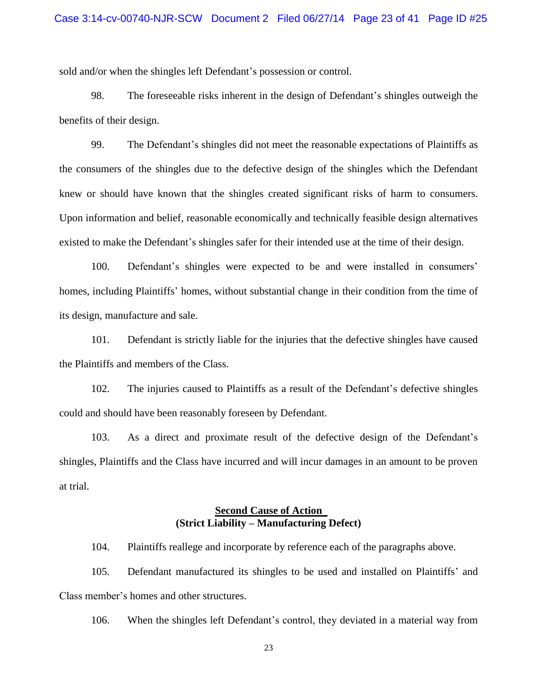sold and/or when the shingles left Defendant's possession or control.

98. The foreseeable risks inherent in the design of Defendant's shingles outweigh the benefits of their design.

99. The Defendant's shingles did not meet the reasonable expectations of Plaintiffs as the consumers of the shingles due to the defective design of the shingles which the Defendant knew or should have known that the shingles created significant risks of harm to consumers. Upon information and belief, reasonable economically and technically feasible design alternatives existed to make the Defendant's shingles safer for their intended use at the time of their design.

100. Defendant's shingles were expected to be and were installed in consumers' homes, including Plaintiffs' homes, without substantial change in their condition from the time of its design, manufacture and sale.

101. Defendant is strictly liable for the injuries that the defective shingles have caused the Plaintiffs and members of the Class.

102. The injuries caused to Plaintiffs as a result of the Defendant's defective shingles could and should have been reasonably foreseen by Defendant.

103. As a direct and proximate result of the defective design of the Defendant's shingles, Plaintiffs and the Class have incurred and will incur damages in an amount to be proven at trial.

# **Second Cause of Action (Strict Liability – Manufacturing Defect)**

104. Plaintiffs reallege and incorporate by reference each of the paragraphs above.

105. Defendant manufactured its shingles to be used and installed on Plaintiffs' and Class member's homes and other structures.

106. When the shingles left Defendant's control, they deviated in a material way from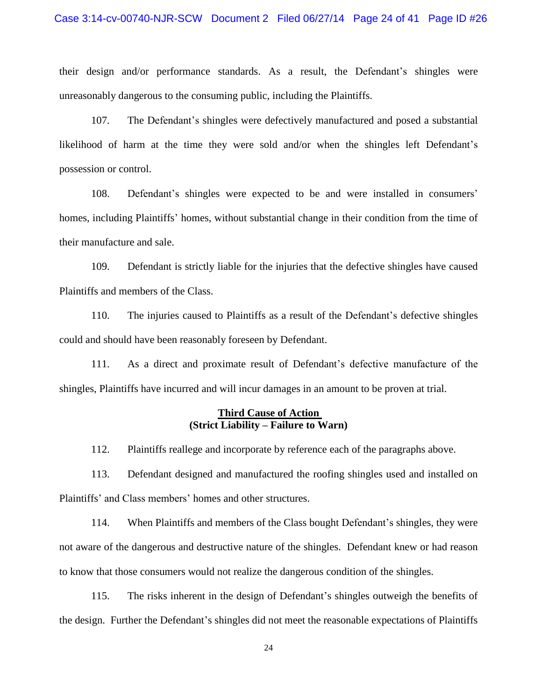#### Case 3:14-cv-00740-NJR-SCW Document 2 Filed 06/27/14 Page 24 of 41 Page ID #26

their design and/or performance standards. As a result, the Defendant's shingles were unreasonably dangerous to the consuming public, including the Plaintiffs.

107. The Defendant's shingles were defectively manufactured and posed a substantial likelihood of harm at the time they were sold and/or when the shingles left Defendant's possession or control.

108. Defendant's shingles were expected to be and were installed in consumers' homes, including Plaintiffs' homes, without substantial change in their condition from the time of their manufacture and sale.

109. Defendant is strictly liable for the injuries that the defective shingles have caused Plaintiffs and members of the Class.

110. The injuries caused to Plaintiffs as a result of the Defendant's defective shingles could and should have been reasonably foreseen by Defendant.

111. As a direct and proximate result of Defendant's defective manufacture of the shingles, Plaintiffs have incurred and will incur damages in an amount to be proven at trial.

### **Third Cause of Action (Strict Liability – Failure to Warn)**

112. Plaintiffs reallege and incorporate by reference each of the paragraphs above.

113. Defendant designed and manufactured the roofing shingles used and installed on Plaintiffs' and Class members' homes and other structures.

114. When Plaintiffs and members of the Class bought Defendant's shingles, they were not aware of the dangerous and destructive nature of the shingles. Defendant knew or had reason to know that those consumers would not realize the dangerous condition of the shingles.

115. The risks inherent in the design of Defendant's shingles outweigh the benefits of the design. Further the Defendant's shingles did not meet the reasonable expectations of Plaintiffs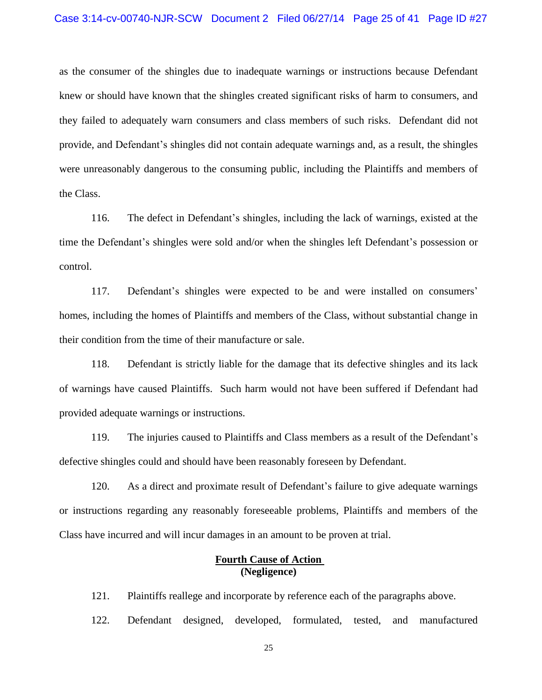as the consumer of the shingles due to inadequate warnings or instructions because Defendant knew or should have known that the shingles created significant risks of harm to consumers, and they failed to adequately warn consumers and class members of such risks. Defendant did not provide, and Defendant's shingles did not contain adequate warnings and, as a result, the shingles were unreasonably dangerous to the consuming public, including the Plaintiffs and members of the Class.

116. The defect in Defendant's shingles, including the lack of warnings, existed at the time the Defendant's shingles were sold and/or when the shingles left Defendant's possession or control.

117. Defendant's shingles were expected to be and were installed on consumers' homes, including the homes of Plaintiffs and members of the Class, without substantial change in their condition from the time of their manufacture or sale.

118. Defendant is strictly liable for the damage that its defective shingles and its lack of warnings have caused Plaintiffs. Such harm would not have been suffered if Defendant had provided adequate warnings or instructions.

119. The injuries caused to Plaintiffs and Class members as a result of the Defendant's defective shingles could and should have been reasonably foreseen by Defendant.

120. As a direct and proximate result of Defendant's failure to give adequate warnings or instructions regarding any reasonably foreseeable problems, Plaintiffs and members of the Class have incurred and will incur damages in an amount to be proven at trial.

# **Fourth Cause of Action (Negligence)**

121. Plaintiffs reallege and incorporate by reference each of the paragraphs above.

122. Defendant designed, developed, formulated, tested, and manufactured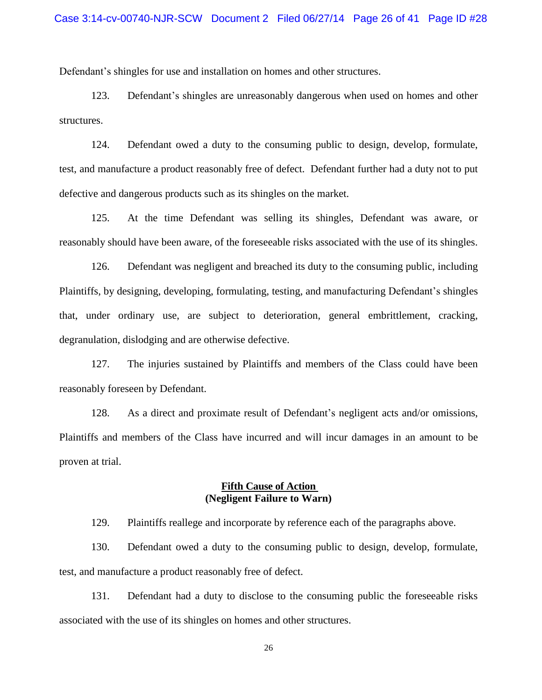Defendant's shingles for use and installation on homes and other structures.

123. Defendant's shingles are unreasonably dangerous when used on homes and other structures.

124. Defendant owed a duty to the consuming public to design, develop, formulate, test, and manufacture a product reasonably free of defect. Defendant further had a duty not to put defective and dangerous products such as its shingles on the market.

125. At the time Defendant was selling its shingles, Defendant was aware, or reasonably should have been aware, of the foreseeable risks associated with the use of its shingles.

126. Defendant was negligent and breached its duty to the consuming public, including Plaintiffs, by designing, developing, formulating, testing, and manufacturing Defendant's shingles that, under ordinary use, are subject to deterioration, general embrittlement, cracking, degranulation, dislodging and are otherwise defective.

127. The injuries sustained by Plaintiffs and members of the Class could have been reasonably foreseen by Defendant.

128. As a direct and proximate result of Defendant's negligent acts and/or omissions, Plaintiffs and members of the Class have incurred and will incur damages in an amount to be proven at trial.

## **Fifth Cause of Action (Negligent Failure to Warn)**

129. Plaintiffs reallege and incorporate by reference each of the paragraphs above.

130. Defendant owed a duty to the consuming public to design, develop, formulate, test, and manufacture a product reasonably free of defect.

131. Defendant had a duty to disclose to the consuming public the foreseeable risks associated with the use of its shingles on homes and other structures.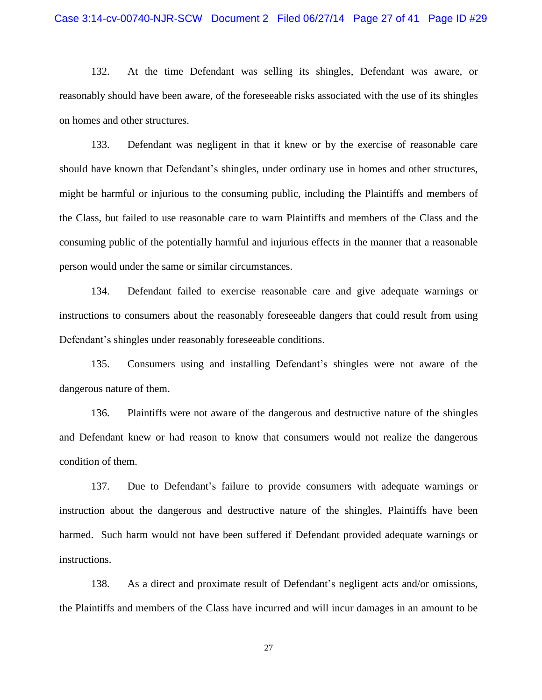132. At the time Defendant was selling its shingles, Defendant was aware, or reasonably should have been aware, of the foreseeable risks associated with the use of its shingles on homes and other structures.

133. Defendant was negligent in that it knew or by the exercise of reasonable care should have known that Defendant's shingles, under ordinary use in homes and other structures, might be harmful or injurious to the consuming public, including the Plaintiffs and members of the Class, but failed to use reasonable care to warn Plaintiffs and members of the Class and the consuming public of the potentially harmful and injurious effects in the manner that a reasonable person would under the same or similar circumstances.

134. Defendant failed to exercise reasonable care and give adequate warnings or instructions to consumers about the reasonably foreseeable dangers that could result from using Defendant's shingles under reasonably foreseeable conditions.

135. Consumers using and installing Defendant's shingles were not aware of the dangerous nature of them.

136. Plaintiffs were not aware of the dangerous and destructive nature of the shingles and Defendant knew or had reason to know that consumers would not realize the dangerous condition of them.

137. Due to Defendant's failure to provide consumers with adequate warnings or instruction about the dangerous and destructive nature of the shingles, Plaintiffs have been harmed. Such harm would not have been suffered if Defendant provided adequate warnings or instructions.

138. As a direct and proximate result of Defendant's negligent acts and/or omissions, the Plaintiffs and members of the Class have incurred and will incur damages in an amount to be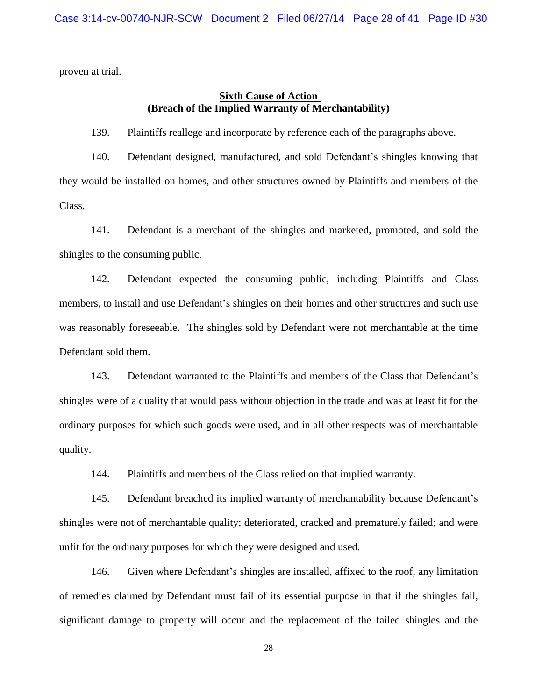proven at trial.

## **Sixth Cause of Action (Breach of the Implied Warranty of Merchantability)**

139. Plaintiffs reallege and incorporate by reference each of the paragraphs above.

140. Defendant designed, manufactured, and sold Defendant's shingles knowing that they would be installed on homes, and other structures owned by Plaintiffs and members of the Class.

141. Defendant is a merchant of the shingles and marketed, promoted, and sold the shingles to the consuming public.

142. Defendant expected the consuming public, including Plaintiffs and Class members, to install and use Defendant's shingles on their homes and other structures and such use was reasonably foreseeable. The shingles sold by Defendant were not merchantable at the time Defendant sold them.

143. Defendant warranted to the Plaintiffs and members of the Class that Defendant's shingles were of a quality that would pass without objection in the trade and was at least fit for the ordinary purposes for which such goods were used, and in all other respects was of merchantable quality.

144. Plaintiffs and members of the Class relied on that implied warranty.

145. Defendant breached its implied warranty of merchantability because Defendant's shingles were not of merchantable quality; deteriorated, cracked and prematurely failed; and were unfit for the ordinary purposes for which they were designed and used.

146. Given where Defendant's shingles are installed, affixed to the roof, any limitation of remedies claimed by Defendant must fail of its essential purpose in that if the shingles fail, significant damage to property will occur and the replacement of the failed shingles and the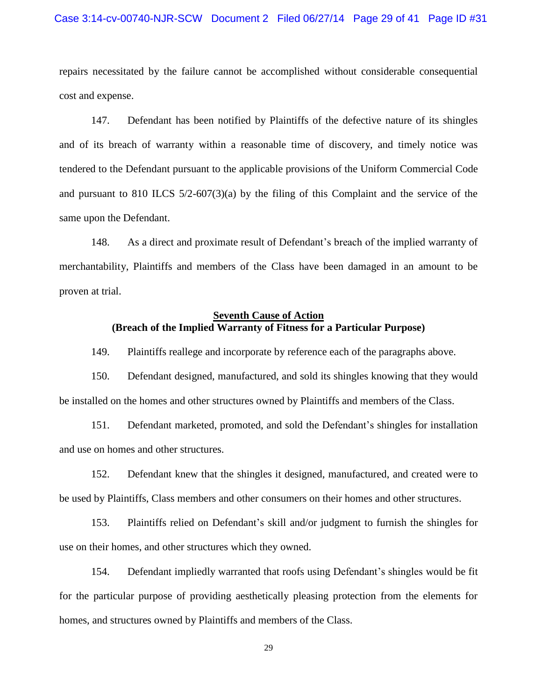#### Case 3:14-cv-00740-NJR-SCW Document 2 Filed 06/27/14 Page 29 of 41 Page ID #31

repairs necessitated by the failure cannot be accomplished without considerable consequential cost and expense.

147. Defendant has been notified by Plaintiffs of the defective nature of its shingles and of its breach of warranty within a reasonable time of discovery, and timely notice was tendered to the Defendant pursuant to the applicable provisions of the Uniform Commercial Code and pursuant to 810 ILCS 5/2-607(3)(a) by the filing of this Complaint and the service of the same upon the Defendant.

148. As a direct and proximate result of Defendant's breach of the implied warranty of merchantability, Plaintiffs and members of the Class have been damaged in an amount to be proven at trial.

# **Seventh Cause of Action (Breach of the Implied Warranty of Fitness for a Particular Purpose)**

149. Plaintiffs reallege and incorporate by reference each of the paragraphs above.

150. Defendant designed, manufactured, and sold its shingles knowing that they would be installed on the homes and other structures owned by Plaintiffs and members of the Class.

151. Defendant marketed, promoted, and sold the Defendant's shingles for installation and use on homes and other structures.

152. Defendant knew that the shingles it designed, manufactured, and created were to be used by Plaintiffs, Class members and other consumers on their homes and other structures.

153. Plaintiffs relied on Defendant's skill and/or judgment to furnish the shingles for use on their homes, and other structures which they owned.

154. Defendant impliedly warranted that roofs using Defendant's shingles would be fit for the particular purpose of providing aesthetically pleasing protection from the elements for homes, and structures owned by Plaintiffs and members of the Class.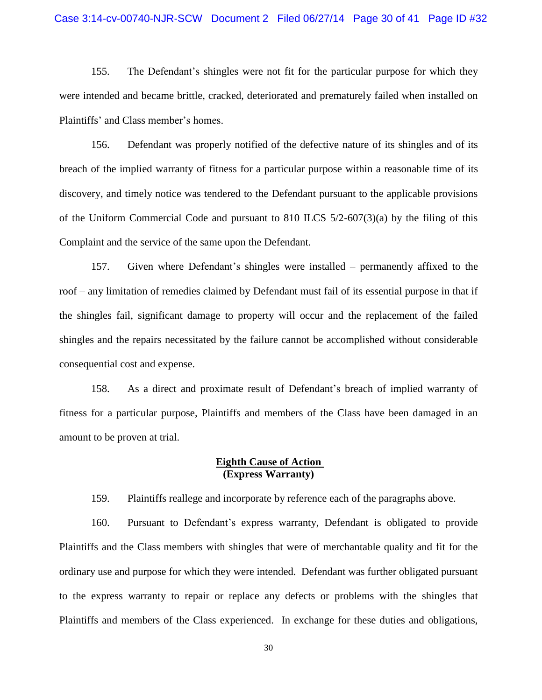#### Case 3:14-cv-00740-NJR-SCW Document 2 Filed 06/27/14 Page 30 of 41 Page ID #32

155. The Defendant's shingles were not fit for the particular purpose for which they were intended and became brittle, cracked, deteriorated and prematurely failed when installed on Plaintiffs' and Class member's homes.

156. Defendant was properly notified of the defective nature of its shingles and of its breach of the implied warranty of fitness for a particular purpose within a reasonable time of its discovery, and timely notice was tendered to the Defendant pursuant to the applicable provisions of the Uniform Commercial Code and pursuant to 810 ILCS 5/2-607(3)(a) by the filing of this Complaint and the service of the same upon the Defendant.

157. Given where Defendant's shingles were installed – permanently affixed to the roof – any limitation of remedies claimed by Defendant must fail of its essential purpose in that if the shingles fail, significant damage to property will occur and the replacement of the failed shingles and the repairs necessitated by the failure cannot be accomplished without considerable consequential cost and expense.

158. As a direct and proximate result of Defendant's breach of implied warranty of fitness for a particular purpose, Plaintiffs and members of the Class have been damaged in an amount to be proven at trial.

### **Eighth Cause of Action (Express Warranty)**

159. Plaintiffs reallege and incorporate by reference each of the paragraphs above.

160. Pursuant to Defendant's express warranty, Defendant is obligated to provide Plaintiffs and the Class members with shingles that were of merchantable quality and fit for the ordinary use and purpose for which they were intended. Defendant was further obligated pursuant to the express warranty to repair or replace any defects or problems with the shingles that Plaintiffs and members of the Class experienced. In exchange for these duties and obligations,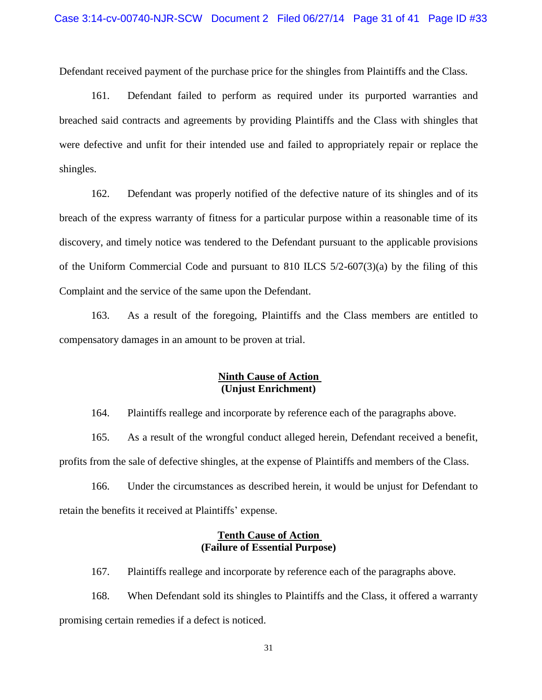Defendant received payment of the purchase price for the shingles from Plaintiffs and the Class.

161. Defendant failed to perform as required under its purported warranties and breached said contracts and agreements by providing Plaintiffs and the Class with shingles that were defective and unfit for their intended use and failed to appropriately repair or replace the shingles.

162. Defendant was properly notified of the defective nature of its shingles and of its breach of the express warranty of fitness for a particular purpose within a reasonable time of its discovery, and timely notice was tendered to the Defendant pursuant to the applicable provisions of the Uniform Commercial Code and pursuant to 810 ILCS 5/2-607(3)(a) by the filing of this Complaint and the service of the same upon the Defendant.

163. As a result of the foregoing, Plaintiffs and the Class members are entitled to compensatory damages in an amount to be proven at trial.

# **Ninth Cause of Action (Unjust Enrichment)**

164. Plaintiffs reallege and incorporate by reference each of the paragraphs above.

165. As a result of the wrongful conduct alleged herein, Defendant received a benefit, profits from the sale of defective shingles, at the expense of Plaintiffs and members of the Class.

166. Under the circumstances as described herein, it would be unjust for Defendant to retain the benefits it received at Plaintiffs' expense.

## **Tenth Cause of Action (Failure of Essential Purpose)**

167. Plaintiffs reallege and incorporate by reference each of the paragraphs above.

168. When Defendant sold its shingles to Plaintiffs and the Class, it offered a warranty promising certain remedies if a defect is noticed.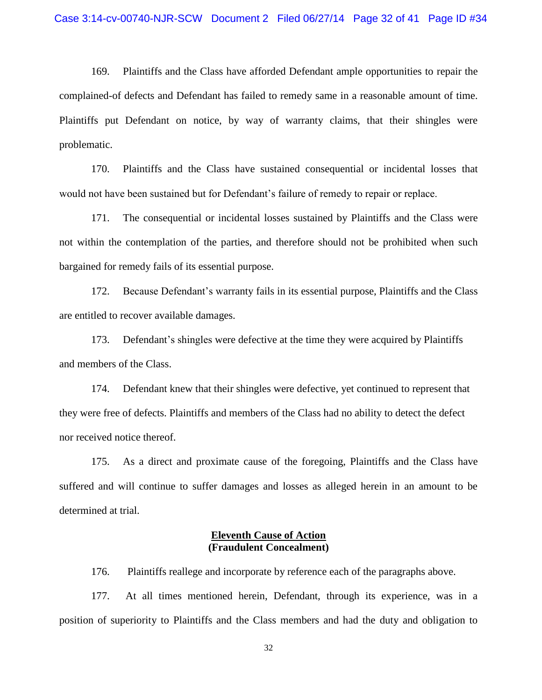169. Plaintiffs and the Class have afforded Defendant ample opportunities to repair the complained-of defects and Defendant has failed to remedy same in a reasonable amount of time. Plaintiffs put Defendant on notice, by way of warranty claims, that their shingles were problematic.

170. Plaintiffs and the Class have sustained consequential or incidental losses that would not have been sustained but for Defendant's failure of remedy to repair or replace.

171. The consequential or incidental losses sustained by Plaintiffs and the Class were not within the contemplation of the parties, and therefore should not be prohibited when such bargained for remedy fails of its essential purpose.

172. Because Defendant's warranty fails in its essential purpose, Plaintiffs and the Class are entitled to recover available damages.

173. Defendant's shingles were defective at the time they were acquired by Plaintiffs and members of the Class.

174. Defendant knew that their shingles were defective, yet continued to represent that they were free of defects. Plaintiffs and members of the Class had no ability to detect the defect nor received notice thereof.

175. As a direct and proximate cause of the foregoing, Plaintiffs and the Class have suffered and will continue to suffer damages and losses as alleged herein in an amount to be determined at trial.

## **Eleventh Cause of Action (Fraudulent Concealment)**

176. Plaintiffs reallege and incorporate by reference each of the paragraphs above.

177. At all times mentioned herein, Defendant, through its experience, was in a position of superiority to Plaintiffs and the Class members and had the duty and obligation to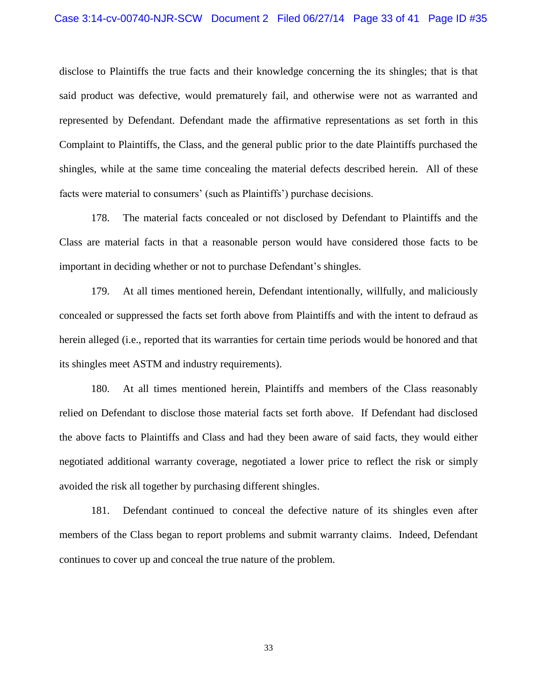disclose to Plaintiffs the true facts and their knowledge concerning the its shingles; that is that said product was defective, would prematurely fail, and otherwise were not as warranted and represented by Defendant. Defendant made the affirmative representations as set forth in this Complaint to Plaintiffs, the Class, and the general public prior to the date Plaintiffs purchased the shingles, while at the same time concealing the material defects described herein. All of these facts were material to consumers' (such as Plaintiffs') purchase decisions.

178. The material facts concealed or not disclosed by Defendant to Plaintiffs and the Class are material facts in that a reasonable person would have considered those facts to be important in deciding whether or not to purchase Defendant's shingles.

179. At all times mentioned herein, Defendant intentionally, willfully, and maliciously concealed or suppressed the facts set forth above from Plaintiffs and with the intent to defraud as herein alleged (i.e., reported that its warranties for certain time periods would be honored and that its shingles meet ASTM and industry requirements).

180. At all times mentioned herein, Plaintiffs and members of the Class reasonably relied on Defendant to disclose those material facts set forth above. If Defendant had disclosed the above facts to Plaintiffs and Class and had they been aware of said facts, they would either negotiated additional warranty coverage, negotiated a lower price to reflect the risk or simply avoided the risk all together by purchasing different shingles.

181. Defendant continued to conceal the defective nature of its shingles even after members of the Class began to report problems and submit warranty claims. Indeed, Defendant continues to cover up and conceal the true nature of the problem.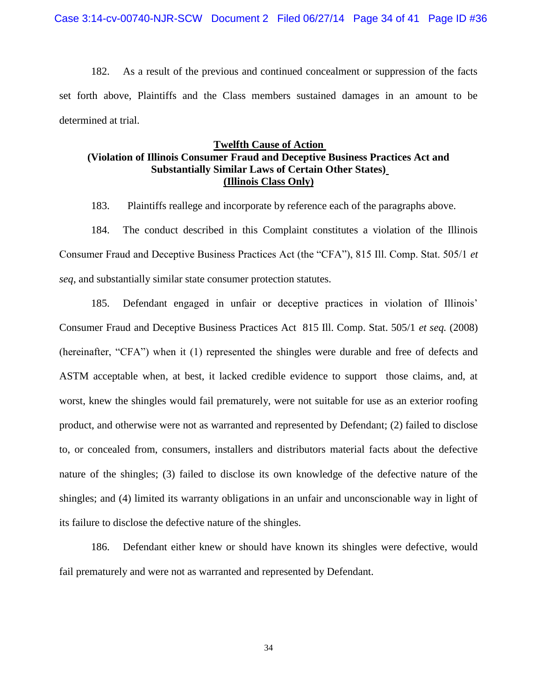182. As a result of the previous and continued concealment or suppression of the facts set forth above, Plaintiffs and the Class members sustained damages in an amount to be determined at trial.

## **Twelfth Cause of Action (Violation of Illinois Consumer Fraud and Deceptive Business Practices Act and Substantially Similar Laws of Certain Other States) (Illinois Class Only)**

183. Plaintiffs reallege and incorporate by reference each of the paragraphs above.

184. The conduct described in this Complaint constitutes a violation of the Illinois Consumer Fraud and Deceptive Business Practices Act (the "CFA"), 815 Ill. Comp. Stat. 505/1 *et seq*, and substantially similar state consumer protection statutes.

185. Defendant engaged in unfair or deceptive practices in violation of Illinois' Consumer Fraud and Deceptive Business Practices Act 815 Ill. Comp. Stat. 505/1 *et seq.* (2008) (hereinafter, "CFA") when it (1) represented the shingles were durable and free of defects and ASTM acceptable when, at best, it lacked credible evidence to support those claims, and, at worst, knew the shingles would fail prematurely, were not suitable for use as an exterior roofing product, and otherwise were not as warranted and represented by Defendant; (2) failed to disclose to, or concealed from, consumers, installers and distributors material facts about the defective nature of the shingles; (3) failed to disclose its own knowledge of the defective nature of the shingles; and (4) limited its warranty obligations in an unfair and unconscionable way in light of its failure to disclose the defective nature of the shingles.

186. Defendant either knew or should have known its shingles were defective, would fail prematurely and were not as warranted and represented by Defendant.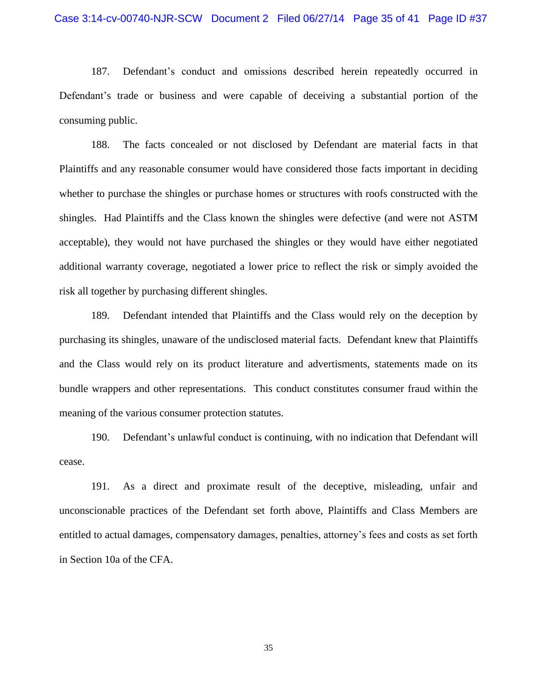187. Defendant's conduct and omissions described herein repeatedly occurred in Defendant's trade or business and were capable of deceiving a substantial portion of the consuming public.

188. The facts concealed or not disclosed by Defendant are material facts in that Plaintiffs and any reasonable consumer would have considered those facts important in deciding whether to purchase the shingles or purchase homes or structures with roofs constructed with the shingles. Had Plaintiffs and the Class known the shingles were defective (and were not ASTM acceptable), they would not have purchased the shingles or they would have either negotiated additional warranty coverage, negotiated a lower price to reflect the risk or simply avoided the risk all together by purchasing different shingles.

189. Defendant intended that Plaintiffs and the Class would rely on the deception by purchasing its shingles, unaware of the undisclosed material facts. Defendant knew that Plaintiffs and the Class would rely on its product literature and advertisments, statements made on its bundle wrappers and other representations. This conduct constitutes consumer fraud within the meaning of the various consumer protection statutes.

190. Defendant's unlawful conduct is continuing, with no indication that Defendant will cease.

191. As a direct and proximate result of the deceptive, misleading, unfair and unconscionable practices of the Defendant set forth above, Plaintiffs and Class Members are entitled to actual damages, compensatory damages, penalties, attorney's fees and costs as set forth in Section 10a of the CFA.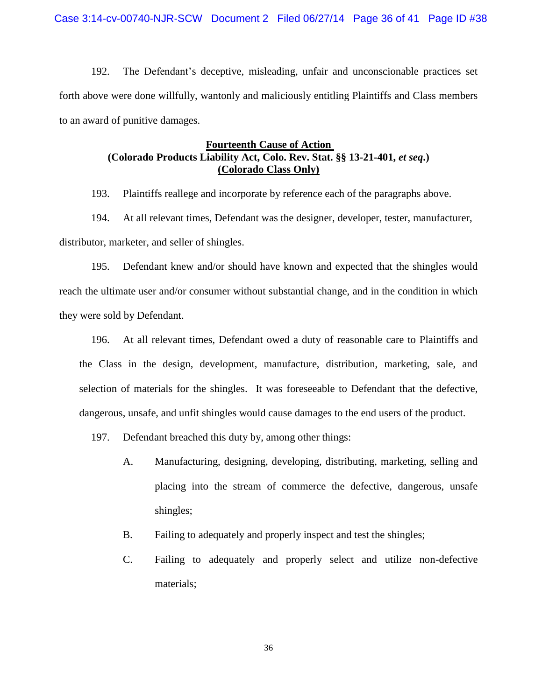192. The Defendant's deceptive, misleading, unfair and unconscionable practices set forth above were done willfully, wantonly and maliciously entitling Plaintiffs and Class members to an award of punitive damages.

## **Fourteenth Cause of Action (Colorado Products Liability Act, Colo. Rev. Stat. §§ 13-21-401,** *et seq***.) (Colorado Class Only)**

193. Plaintiffs reallege and incorporate by reference each of the paragraphs above.

194. At all relevant times, Defendant was the designer, developer, tester, manufacturer, distributor, marketer, and seller of shingles.

195. Defendant knew and/or should have known and expected that the shingles would reach the ultimate user and/or consumer without substantial change, and in the condition in which they were sold by Defendant.

196. At all relevant times, Defendant owed a duty of reasonable care to Plaintiffs and the Class in the design, development, manufacture, distribution, marketing, sale, and selection of materials for the shingles. It was foreseeable to Defendant that the defective, dangerous, unsafe, and unfit shingles would cause damages to the end users of the product.

- 197. Defendant breached this duty by, among other things:
	- A. Manufacturing, designing, developing, distributing, marketing, selling and placing into the stream of commerce the defective, dangerous, unsafe shingles;
	- B. Failing to adequately and properly inspect and test the shingles;
	- C. Failing to adequately and properly select and utilize non-defective materials;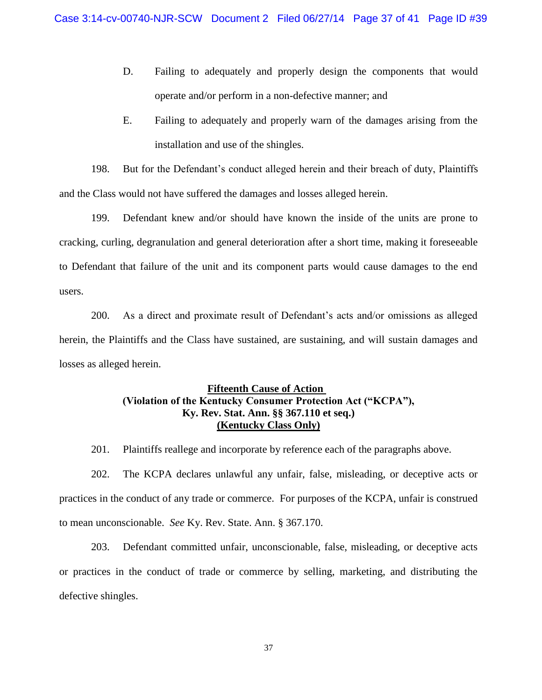- D. Failing to adequately and properly design the components that would operate and/or perform in a non-defective manner; and
- E. Failing to adequately and properly warn of the damages arising from the installation and use of the shingles.

198. But for the Defendant's conduct alleged herein and their breach of duty, Plaintiffs and the Class would not have suffered the damages and losses alleged herein.

199. Defendant knew and/or should have known the inside of the units are prone to cracking, curling, degranulation and general deterioration after a short time, making it foreseeable to Defendant that failure of the unit and its component parts would cause damages to the end users.

200. As a direct and proximate result of Defendant's acts and/or omissions as alleged herein, the Plaintiffs and the Class have sustained, are sustaining, and will sustain damages and losses as alleged herein.

# **Fifteenth Cause of Action (Violation of the Kentucky Consumer Protection Act ("KCPA"), Ky. Rev. Stat. Ann. §§ 367.110 et seq.) (Kentucky Class Only)**

201. Plaintiffs reallege and incorporate by reference each of the paragraphs above.

202. The KCPA declares unlawful any unfair, false, misleading, or deceptive acts or practices in the conduct of any trade or commerce. For purposes of the KCPA, unfair is construed to mean unconscionable. *See* Ky. Rev. State. Ann. § 367.170.

203. Defendant committed unfair, unconscionable, false, misleading, or deceptive acts or practices in the conduct of trade or commerce by selling, marketing, and distributing the defective shingles.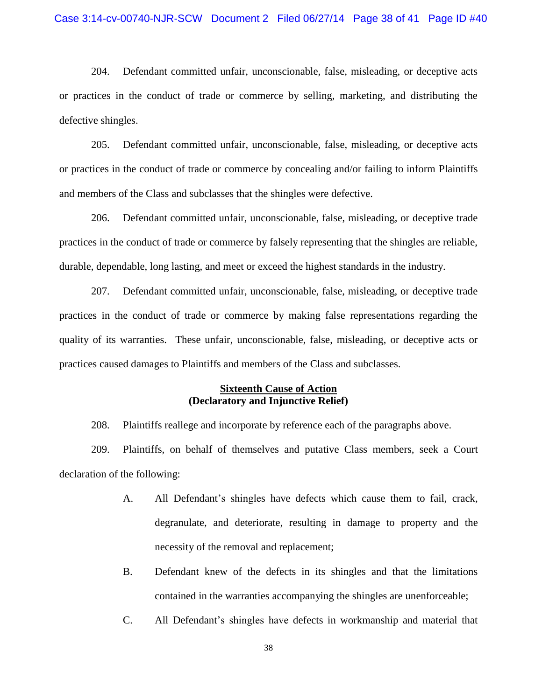204. Defendant committed unfair, unconscionable, false, misleading, or deceptive acts or practices in the conduct of trade or commerce by selling, marketing, and distributing the defective shingles.

205. Defendant committed unfair, unconscionable, false, misleading, or deceptive acts or practices in the conduct of trade or commerce by concealing and/or failing to inform Plaintiffs and members of the Class and subclasses that the shingles were defective.

206. Defendant committed unfair, unconscionable, false, misleading, or deceptive trade practices in the conduct of trade or commerce by falsely representing that the shingles are reliable, durable, dependable, long lasting, and meet or exceed the highest standards in the industry.

207. Defendant committed unfair, unconscionable, false, misleading, or deceptive trade practices in the conduct of trade or commerce by making false representations regarding the quality of its warranties. These unfair, unconscionable, false, misleading, or deceptive acts or practices caused damages to Plaintiffs and members of the Class and subclasses.

## **Sixteenth Cause of Action (Declaratory and Injunctive Relief)**

208. Plaintiffs reallege and incorporate by reference each of the paragraphs above.

209. Plaintiffs, on behalf of themselves and putative Class members, seek a Court declaration of the following:

- A. All Defendant's shingles have defects which cause them to fail, crack, degranulate, and deteriorate, resulting in damage to property and the necessity of the removal and replacement;
- B. Defendant knew of the defects in its shingles and that the limitations contained in the warranties accompanying the shingles are unenforceable;
- C. All Defendant's shingles have defects in workmanship and material that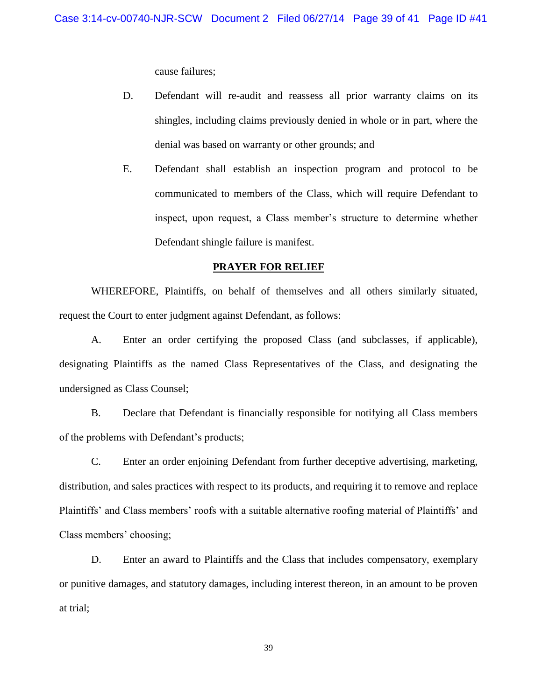cause failures;

- D. Defendant will re-audit and reassess all prior warranty claims on its shingles, including claims previously denied in whole or in part, where the denial was based on warranty or other grounds; and
- E. Defendant shall establish an inspection program and protocol to be communicated to members of the Class, which will require Defendant to inspect, upon request, a Class member's structure to determine whether Defendant shingle failure is manifest.

#### **PRAYER FOR RELIEF**

WHEREFORE, Plaintiffs, on behalf of themselves and all others similarly situated, request the Court to enter judgment against Defendant, as follows:

A. Enter an order certifying the proposed Class (and subclasses, if applicable), designating Plaintiffs as the named Class Representatives of the Class, and designating the undersigned as Class Counsel;

B. Declare that Defendant is financially responsible for notifying all Class members of the problems with Defendant's products;

C. Enter an order enjoining Defendant from further deceptive advertising, marketing, distribution, and sales practices with respect to its products, and requiring it to remove and replace Plaintiffs' and Class members' roofs with a suitable alternative roofing material of Plaintiffs' and Class members' choosing;

D. Enter an award to Plaintiffs and the Class that includes compensatory, exemplary or punitive damages, and statutory damages, including interest thereon, in an amount to be proven at trial;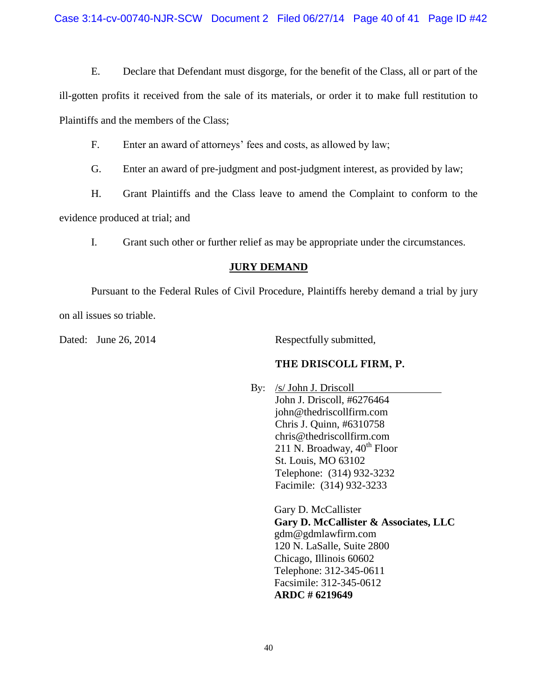E. Declare that Defendant must disgorge, for the benefit of the Class, all or part of the

ill-gotten profits it received from the sale of its materials, or order it to make full restitution to Plaintiffs and the members of the Class;

F. Enter an award of attorneys' fees and costs, as allowed by law;

G. Enter an award of pre-judgment and post-judgment interest, as provided by law;

H. Grant Plaintiffs and the Class leave to amend the Complaint to conform to the

evidence produced at trial; and

I. Grant such other or further relief as may be appropriate under the circumstances.

### **JURY DEMAND**

Pursuant to the Federal Rules of Civil Procedure, Plaintiffs hereby demand a trial by jury on all issues so triable.

Dated: June 26, 2014 Respectfully submitted,

## **THE DRISCOLL FIRM, P.**

By: /s/ John J. Driscoll John J. Driscoll, #6276464 john@thedriscollfirm.com Chris J. Quinn, #6310758 chris@thedriscollfirm.com 211 N. Broadway,  $40^{th}$  Floor St. Louis, MO 63102 Telephone: (314) 932-3232 Facimile: (314) 932-3233

> Gary D. McCallister **Gary D. McCallister & Associates, LLC** gdm@gdmlawfirm.com 120 N. LaSalle, Suite 2800 Chicago, Illinois 60602 Telephone: 312-345-0611 Facsimile: 312-345-0612 **ARDC # 6219649**